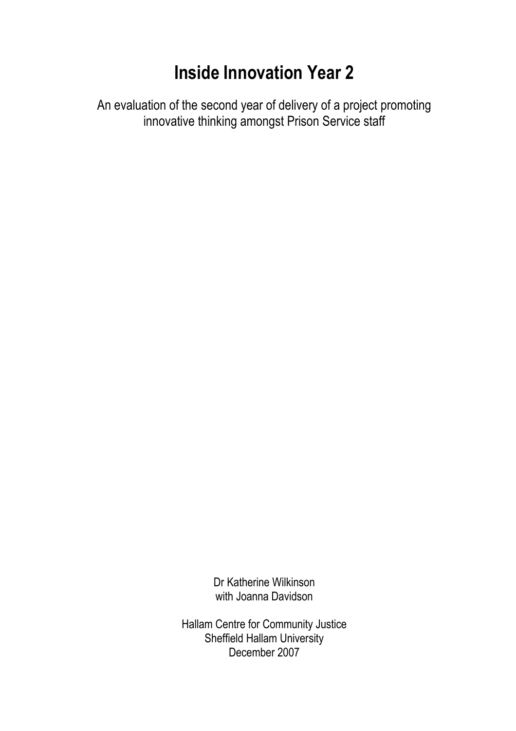## Inside Innovation Year 2

An evaluation of the second year of delivery of a project promoting innovative thinking amongst Prison Service staff

> Dr Katherine Wilkinson with Joanna Davidson

Hallam Centre for Community Justice Sheffield Hallam University December 2007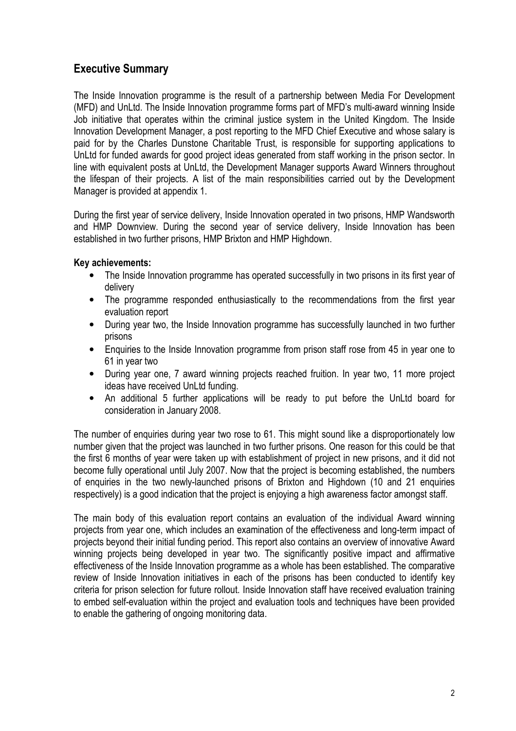## Executive Summary

The Inside Innovation programme is the result of a partnership between Media For Development (MFD) and UnLtd. The Inside Innovation programme forms part of MFD's multi-award winning Inside Job initiative that operates within the criminal justice system in the United Kingdom. The Inside Innovation Development Manager, a post reporting to the MFD Chief Executive and whose salary is paid for by the Charles Dunstone Charitable Trust, is responsible for supporting applications to UnLtd for funded awards for good project ideas generated from staff working in the prison sector. In line with equivalent posts at UnLtd, the Development Manager supports Award Winners throughout the lifespan of their projects. A list of the main responsibilities carried out by the Development Manager is provided at appendix 1.

During the first year of service delivery, Inside Innovation operated in two prisons, HMP Wandsworth and HMP Downview. During the second year of service delivery, Inside Innovation has been established in two further prisons, HMP Brixton and HMP Highdown.

#### Key achievements:

- The Inside Innovation programme has operated successfully in two prisons in its first year of delivery
- The programme responded enthusiastically to the recommendations from the first year evaluation report
- During year two, the Inside Innovation programme has successfully launched in two further prisons
- Enquiries to the Inside Innovation programme from prison staff rose from 45 in year one to 61 in year two
- During year one, 7 award winning projects reached fruition. In year two, 11 more project ideas have received UnLtd funding.
- An additional 5 further applications will be ready to put before the UnLtd board for consideration in January 2008.

The number of enquiries during year two rose to 61. This might sound like a disproportionately low number given that the project was launched in two further prisons. One reason for this could be that the first 6 months of year were taken up with establishment of project in new prisons, and it did not become fully operational until July 2007. Now that the project is becoming established, the numbers of enquiries in the two newly-launched prisons of Brixton and Highdown (10 and 21 enquiries respectively) is a good indication that the project is enjoying a high awareness factor amongst staff.

The main body of this evaluation report contains an evaluation of the individual Award winning projects from year one, which includes an examination of the effectiveness and long-term impact of projects beyond their initial funding period. This report also contains an overview of innovative Award winning projects being developed in year two. The significantly positive impact and affirmative effectiveness of the Inside Innovation programme as a whole has been established. The comparative review of Inside Innovation initiatives in each of the prisons has been conducted to identify key criteria for prison selection for future rollout. Inside Innovation staff have received evaluation training to embed self-evaluation within the project and evaluation tools and techniques have been provided to enable the gathering of ongoing monitoring data.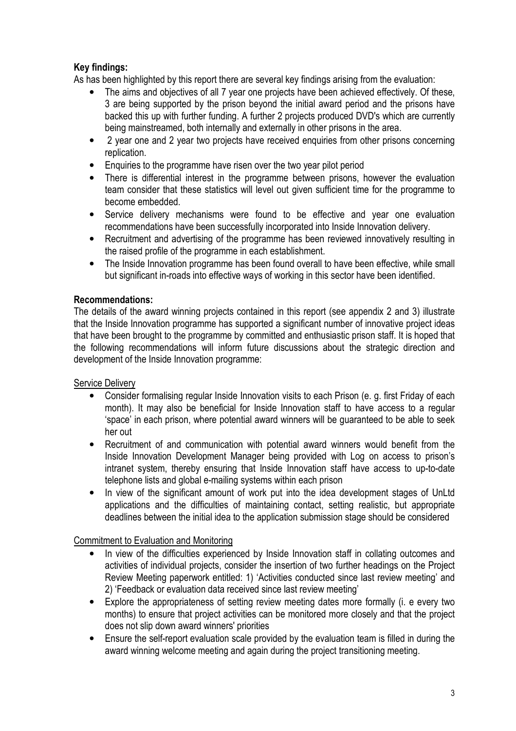#### Key findings:

As has been highlighted by this report there are several key findings arising from the evaluation:

- The aims and objectives of all 7 year one projects have been achieved effectively. Of these, 3 are being supported by the prison beyond the initial award period and the prisons have backed this up with further funding. A further 2 projects produced DVD's which are currently being mainstreamed, both internally and externally in other prisons in the area.
- 2 year one and 2 year two projects have received enquiries from other prisons concerning replication.
- Enquiries to the programme have risen over the two year pilot period
- There is differential interest in the programme between prisons, however the evaluation team consider that these statistics will level out given sufficient time for the programme to become embedded.
- Service delivery mechanisms were found to be effective and year one evaluation recommendations have been successfully incorporated into Inside Innovation delivery.
- Recruitment and advertising of the programme has been reviewed innovatively resulting in the raised profile of the programme in each establishment.
- The Inside Innovation programme has been found overall to have been effective, while small but significant in-roads into effective ways of working in this sector have been identified.

#### Recommendations:

The details of the award winning projects contained in this report (see appendix 2 and 3) illustrate that the Inside Innovation programme has supported a significant number of innovative project ideas that have been brought to the programme by committed and enthusiastic prison staff. It is hoped that the following recommendations will inform future discussions about the strategic direction and development of the Inside Innovation programme:

#### Service Delivery

- Consider formalising regular Inside Innovation visits to each Prison (e. g. first Friday of each month). It may also be beneficial for Inside Innovation staff to have access to a regular 'space' in each prison, where potential award winners will be guaranteed to be able to seek her out
- Recruitment of and communication with potential award winners would benefit from the Inside Innovation Development Manager being provided with Log on access to prison's intranet system, thereby ensuring that Inside Innovation staff have access to up-to-date telephone lists and global e-mailing systems within each prison
- In view of the significant amount of work put into the idea development stages of UnLtd applications and the difficulties of maintaining contact, setting realistic, but appropriate deadlines between the initial idea to the application submission stage should be considered

#### Commitment to Evaluation and Monitoring

- In view of the difficulties experienced by Inside Innovation staff in collating outcomes and activities of individual projects, consider the insertion of two further headings on the Project Review Meeting paperwork entitled: 1) 'Activities conducted since last review meeting' and 2) 'Feedback or evaluation data received since last review meeting'
- Explore the appropriateness of setting review meeting dates more formally (i. e every two months) to ensure that project activities can be monitored more closely and that the project does not slip down award winners' priorities
- Ensure the self-report evaluation scale provided by the evaluation team is filled in during the award winning welcome meeting and again during the project transitioning meeting.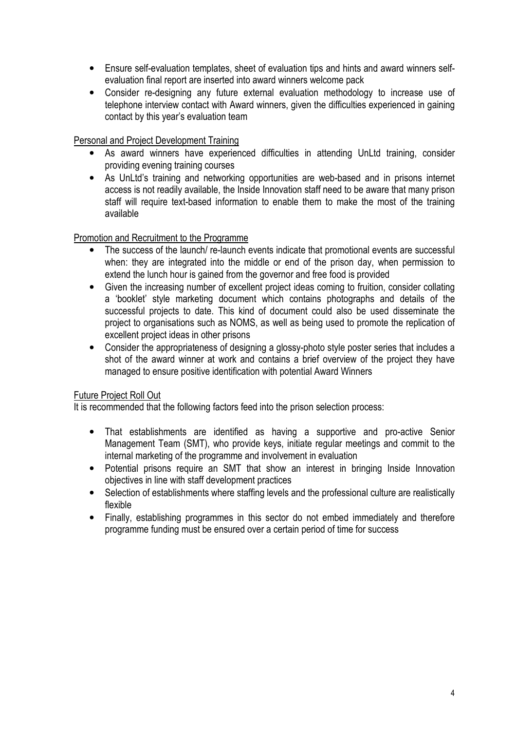- Ensure self-evaluation templates, sheet of evaluation tips and hints and award winners selfevaluation final report are inserted into award winners welcome pack
- Consider re-designing any future external evaluation methodology to increase use of telephone interview contact with Award winners, given the difficulties experienced in gaining contact by this year's evaluation team

#### Personal and Project Development Training

- As award winners have experienced difficulties in attending UnLtd training, consider providing evening training courses
- As UnLtd's training and networking opportunities are web-based and in prisons internet access is not readily available, the Inside Innovation staff need to be aware that many prison staff will require text-based information to enable them to make the most of the training available

#### Promotion and Recruitment to the Programme

- The success of the launch/ re-launch events indicate that promotional events are successful when: they are integrated into the middle or end of the prison day, when permission to extend the lunch hour is gained from the governor and free food is provided
- Given the increasing number of excellent project ideas coming to fruition, consider collating a 'booklet' style marketing document which contains photographs and details of the successful projects to date. This kind of document could also be used disseminate the project to organisations such as NOMS, as well as being used to promote the replication of excellent project ideas in other prisons
- Consider the appropriateness of designing a glossy-photo style poster series that includes a shot of the award winner at work and contains a brief overview of the project they have managed to ensure positive identification with potential Award Winners

#### Future Project Roll Out

It is recommended that the following factors feed into the prison selection process:

- That establishments are identified as having a supportive and pro-active Senior Management Team (SMT), who provide keys, initiate regular meetings and commit to the internal marketing of the programme and involvement in evaluation
- Potential prisons require an SMT that show an interest in bringing Inside Innovation objectives in line with staff development practices
- Selection of establishments where staffing levels and the professional culture are realistically flexible
- Finally, establishing programmes in this sector do not embed immediately and therefore programme funding must be ensured over a certain period of time for success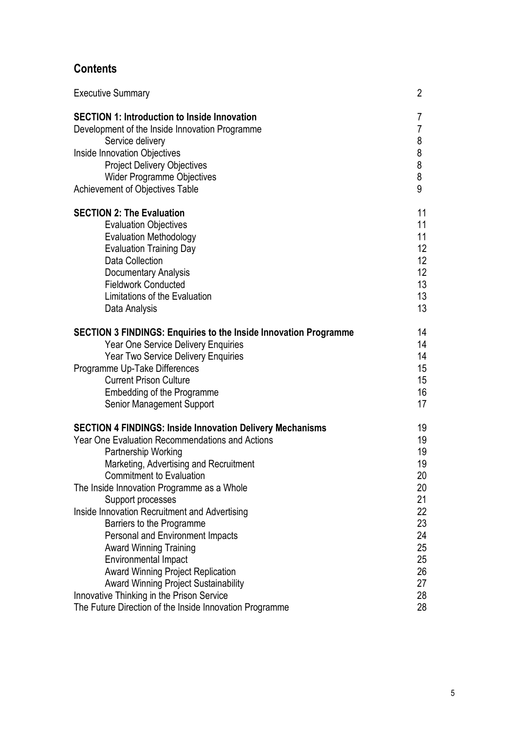## **Contents**

| <b>Executive Summary</b>                                                | 2               |
|-------------------------------------------------------------------------|-----------------|
| <b>SECTION 1: Introduction to Inside Innovation</b>                     | 7               |
| Development of the Inside Innovation Programme                          | 7               |
| Service delivery                                                        | 8               |
| Inside Innovation Objectives                                            | 8               |
| <b>Project Delivery Objectives</b>                                      | 8               |
| <b>Wider Programme Objectives</b>                                       | 8               |
| Achievement of Objectives Table                                         | 9               |
| <b>SECTION 2: The Evaluation</b>                                        | 11              |
| <b>Evaluation Objectives</b>                                            | 11              |
| <b>Evaluation Methodology</b>                                           | 11              |
| <b>Evaluation Training Day</b>                                          | 12              |
| <b>Data Collection</b>                                                  | 12 <sup>°</sup> |
| <b>Documentary Analysis</b>                                             | 12              |
| <b>Fieldwork Conducted</b>                                              | 13              |
| Limitations of the Evaluation                                           | 13              |
| Data Analysis                                                           | 13              |
| <b>SECTION 3 FINDINGS: Enquiries to the Inside Innovation Programme</b> | 14              |
| <b>Year One Service Delivery Enquiries</b>                              | 14              |
| Year Two Service Delivery Enquiries                                     | 14              |
| Programme Up-Take Differences                                           | 15              |
| <b>Current Prison Culture</b>                                           | 15              |
| Embedding of the Programme                                              | 16              |
| <b>Senior Management Support</b>                                        | 17              |
| <b>SECTION 4 FINDINGS: Inside Innovation Delivery Mechanisms</b>        | 19              |
| <b>Year One Evaluation Recommendations and Actions</b>                  | 19              |
| Partnership Working                                                     | 19              |
| Marketing, Advertising and Recruitment                                  | 19              |
| <b>Commitment to Evaluation</b>                                         | 20              |
| The Inside Innovation Programme as a Whole                              | 20              |
| Support processes                                                       | 21              |
| Inside Innovation Recruitment and Advertising                           | 22              |
| Barriers to the Programme                                               | 23              |
| Personal and Environment Impacts                                        | 24              |
| <b>Award Winning Training</b>                                           | 25              |
| <b>Environmental Impact</b>                                             | 25              |
| <b>Award Winning Project Replication</b>                                | 26              |
| <b>Award Winning Project Sustainability</b>                             | 27              |
| Innovative Thinking in the Prison Service                               | 28              |
| The Future Direction of the Inside Innovation Programme                 | 28              |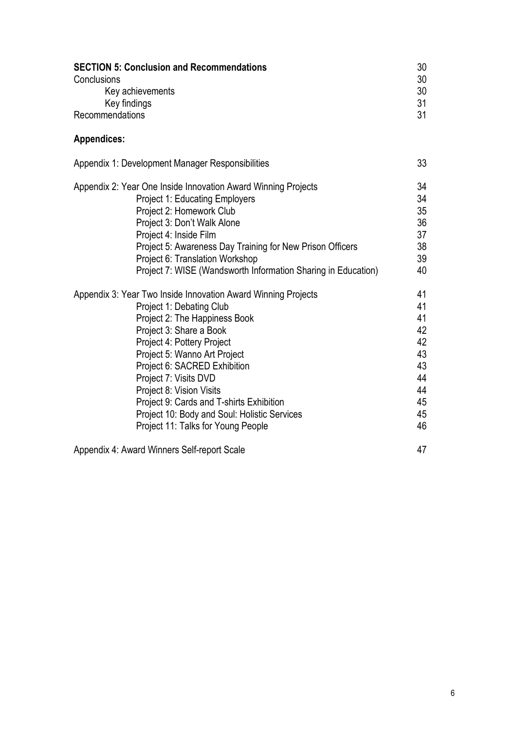| <b>SECTION 5: Conclusion and Recommendations</b><br>Conclusions<br>Key achievements<br>Key findings | 30<br>30<br>30<br>31 |
|-----------------------------------------------------------------------------------------------------|----------------------|
| Recommendations                                                                                     | 31                   |
| <b>Appendices:</b>                                                                                  |                      |
| Appendix 1: Development Manager Responsibilities                                                    | 33                   |
| Appendix 2: Year One Inside Innovation Award Winning Projects                                       | 34                   |
| <b>Project 1: Educating Employers</b>                                                               | 34                   |
| Project 2: Homework Club                                                                            | 35                   |
| Project 3: Don't Walk Alone                                                                         | 36                   |
| Project 4: Inside Film                                                                              | 37                   |
| Project 5: Awareness Day Training for New Prison Officers                                           | 38                   |
| Project 6: Translation Workshop                                                                     | 39                   |
| Project 7: WISE (Wandsworth Information Sharing in Education)                                       | 40                   |
| Appendix 3: Year Two Inside Innovation Award Winning Projects                                       | 41                   |
| Project 1: Debating Club                                                                            | 41                   |
| Project 2: The Happiness Book                                                                       | 41                   |
| Project 3: Share a Book                                                                             | 42                   |
| Project 4: Pottery Project                                                                          | 42                   |
| Project 5: Wanno Art Project                                                                        | 43                   |
| Project 6: SACRED Exhibition                                                                        | 43                   |
| Project 7: Visits DVD                                                                               | 44                   |
| Project 8: Vision Visits                                                                            | 44                   |
| Project 9: Cards and T-shirts Exhibition                                                            | 45                   |
| Project 10: Body and Soul: Holistic Services                                                        | 45                   |
| Project 11: Talks for Young People                                                                  | 46                   |
| $\mathbf{u}$                                                                                        | $\overline{ }$       |

Appendix 4: Award Winners Self-report Scale 47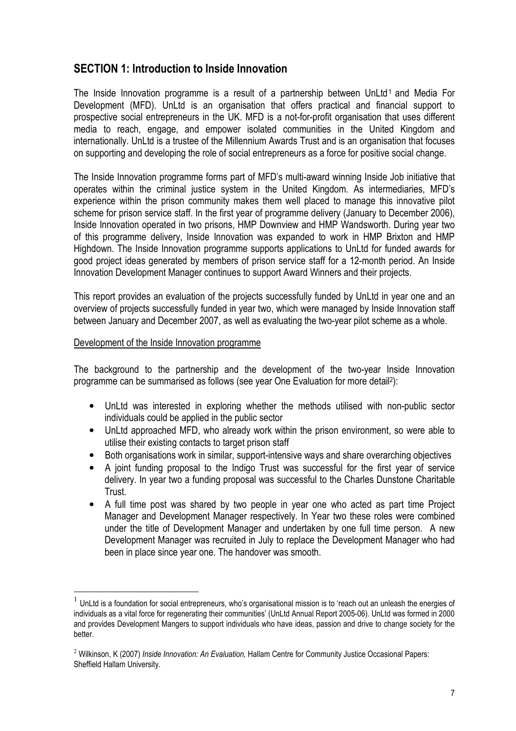## SECTION 1: Introduction to Inside Innovation

The Inside Innovation programme is a result of a partnership between UnLtd<sup>1</sup> and Media For Development (MFD). UnLtd is an organisation that offers practical and financial support to prospective social entrepreneurs in the UK. MFD is a not-for-profit organisation that uses different media to reach, engage, and empower isolated communities in the United Kingdom and internationally. UnLtd is a trustee of the Millennium Awards Trust and is an organisation that focuses on supporting and developing the role of social entrepreneurs as a force for positive social change.

The Inside Innovation programme forms part of MFD's multi-award winning Inside Job initiative that operates within the criminal justice system in the United Kingdom. As intermediaries, MFD's experience within the prison community makes them well placed to manage this innovative pilot scheme for prison service staff. In the first year of programme delivery (January to December 2006), Inside Innovation operated in two prisons, HMP Downview and HMP Wandsworth. During year two of this programme delivery, Inside Innovation was expanded to work in HMP Brixton and HMP Highdown. The Inside Innovation programme supports applications to UnLtd for funded awards for good project ideas generated by members of prison service staff for a 12-month period. An Inside Innovation Development Manager continues to support Award Winners and their projects.

This report provides an evaluation of the projects successfully funded by UnLtd in year one and an overview of projects successfully funded in year two, which were managed by Inside Innovation staff between January and December 2007, as well as evaluating the two-year pilot scheme as a whole.

#### Development of the Inside Innovation programme

l.

The background to the partnership and the development of the two-year Inside Innovation programme can be summarised as follows (see year One Evaluation for more detail<sup>2</sup>):

- UnLtd was interested in exploring whether the methods utilised with non-public sector individuals could be applied in the public sector
- UnLtd approached MFD, who already work within the prison environment, so were able to utilise their existing contacts to target prison staff
- Both organisations work in similar, support-intensive ways and share overarching objectives
- A joint funding proposal to the Indigo Trust was successful for the first year of service delivery. In year two a funding proposal was successful to the Charles Dunstone Charitable Trust.
- A full time post was shared by two people in year one who acted as part time Project Manager and Development Manager respectively. In Year two these roles were combined under the title of Development Manager and undertaken by one full time person. A new Development Manager was recruited in July to replace the Development Manager who had been in place since year one. The handover was smooth.

<sup>1</sup> UnLtd is a foundation for social entrepreneurs, who's organisational mission is to 'reach out an unleash the energies of individuals as a vital force for regenerating their communities' (UnLtd Annual Report 2005-06). UnLtd was formed in 2000 and provides Development Mangers to support individuals who have ideas, passion and drive to change society for the better.

<sup>&</sup>lt;sup>2</sup> Wilkinson, K (2007) Inside Innovation: An Evaluation, Hallam Centre for Community Justice Occasional Papers: Sheffield Hallam University.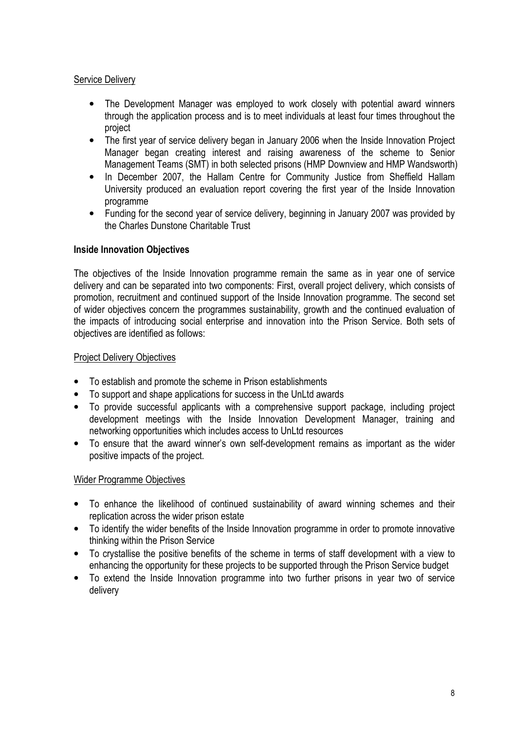#### **Service Delivery**

- The Development Manager was employed to work closely with potential award winners through the application process and is to meet individuals at least four times throughout the project
- The first year of service delivery began in January 2006 when the Inside Innovation Project Manager began creating interest and raising awareness of the scheme to Senior Management Teams (SMT) in both selected prisons (HMP Downview and HMP Wandsworth)
- In December 2007, the Hallam Centre for Community Justice from Sheffield Hallam University produced an evaluation report covering the first year of the Inside Innovation programme
- Funding for the second year of service delivery, beginning in January 2007 was provided by the Charles Dunstone Charitable Trust

#### Inside Innovation Objectives

The objectives of the Inside Innovation programme remain the same as in year one of service delivery and can be separated into two components: First, overall project delivery, which consists of promotion, recruitment and continued support of the Inside Innovation programme. The second set of wider objectives concern the programmes sustainability, growth and the continued evaluation of the impacts of introducing social enterprise and innovation into the Prison Service. Both sets of objectives are identified as follows:

#### Project Delivery Objectives

- To establish and promote the scheme in Prison establishments
- To support and shape applications for success in the UnLtd awards
- To provide successful applicants with a comprehensive support package, including project development meetings with the Inside Innovation Development Manager, training and networking opportunities which includes access to UnLtd resources
- To ensure that the award winner's own self-development remains as important as the wider positive impacts of the project.

#### Wider Programme Objectives

- To enhance the likelihood of continued sustainability of award winning schemes and their replication across the wider prison estate
- To identify the wider benefits of the Inside Innovation programme in order to promote innovative thinking within the Prison Service
- To crystallise the positive benefits of the scheme in terms of staff development with a view to enhancing the opportunity for these projects to be supported through the Prison Service budget
- To extend the Inside Innovation programme into two further prisons in year two of service delivery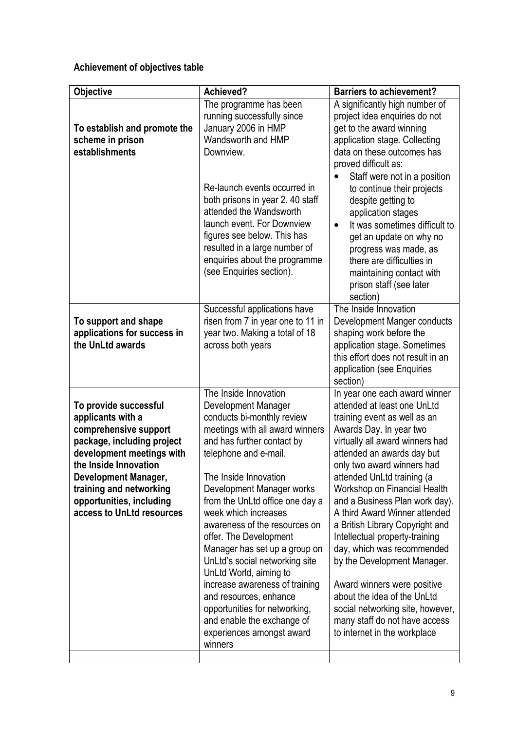## Achievement of objectives table

| <b>Objective</b>                                                                                                                                                                                                                                                           | Achieved?                                                                                                                                                                                                                                                                                                                                                                                                                                                                                                                                                                                                        | <b>Barriers to achievement?</b>                                                                                                                                                                                                                                                                                                                                                                                                                                                                                                                                                                                                                              |
|----------------------------------------------------------------------------------------------------------------------------------------------------------------------------------------------------------------------------------------------------------------------------|------------------------------------------------------------------------------------------------------------------------------------------------------------------------------------------------------------------------------------------------------------------------------------------------------------------------------------------------------------------------------------------------------------------------------------------------------------------------------------------------------------------------------------------------------------------------------------------------------------------|--------------------------------------------------------------------------------------------------------------------------------------------------------------------------------------------------------------------------------------------------------------------------------------------------------------------------------------------------------------------------------------------------------------------------------------------------------------------------------------------------------------------------------------------------------------------------------------------------------------------------------------------------------------|
| To establish and promote the<br>scheme in prison<br>establishments                                                                                                                                                                                                         | The programme has been<br>running successfully since<br>January 2006 in HMP<br>Wandsworth and HMP<br>Downview.<br>Re-launch events occurred in<br>both prisons in year 2.40 staff<br>attended the Wandsworth<br>launch event. For Downview<br>figures see below. This has<br>resulted in a large number of<br>enquiries about the programme<br>(see Enquiries section).                                                                                                                                                                                                                                          | A significantly high number of<br>project idea enquiries do not<br>get to the award winning<br>application stage. Collecting<br>data on these outcomes has<br>proved difficult as:<br>Staff were not in a position<br>to continue their projects<br>despite getting to<br>application stages<br>It was sometimes difficult to<br>$\bullet$<br>get an update on why no<br>progress was made, as<br>there are difficulties in<br>maintaining contact with<br>prison staff (see later<br>section)                                                                                                                                                               |
| To support and shape<br>applications for success in<br>the UnLtd awards                                                                                                                                                                                                    | Successful applications have<br>risen from 7 in year one to 11 in<br>year two. Making a total of 18<br>across both years                                                                                                                                                                                                                                                                                                                                                                                                                                                                                         | The Inside Innovation<br>Development Manger conducts<br>shaping work before the<br>application stage. Sometimes<br>this effort does not result in an<br>application (see Enquiries<br>section)                                                                                                                                                                                                                                                                                                                                                                                                                                                               |
| To provide successful<br>applicants with a<br>comprehensive support<br>package, including project<br>development meetings with<br>the Inside Innovation<br><b>Development Manager,</b><br>training and networking<br>opportunities, including<br>access to UnLtd resources | The Inside Innovation<br>Development Manager<br>conducts bi-monthly review<br>meetings with all award winners<br>and has further contact by<br>telephone and e-mail.<br>The Inside Innovation<br>Development Manager works<br>from the UnLtd office one day a<br>week which increases<br>awareness of the resources on<br>offer. The Development<br>Manager has set up a group on<br>UnLtd's social networking site<br>UnLtd World, aiming to<br>increase awareness of training<br>and resources, enhance<br>opportunities for networking,<br>and enable the exchange of<br>experiences amongst award<br>winners | In year one each award winner<br>attended at least one UnLtd<br>training event as well as an<br>Awards Day. In year two<br>virtually all award winners had<br>attended an awards day but<br>only two award winners had<br>attended UnLtd training (a<br>Workshop on Financial Health<br>and a Business Plan work day).<br>A third Award Winner attended<br>a British Library Copyright and<br>Intellectual property-training<br>day, which was recommended<br>by the Development Manager.<br>Award winners were positive<br>about the idea of the UnLtd<br>social networking site, however,<br>many staff do not have access<br>to internet in the workplace |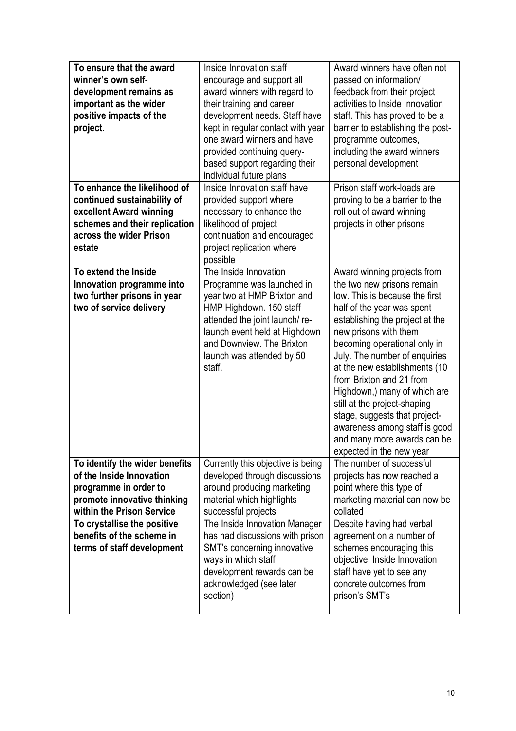| To ensure that the award<br>winner's own self-<br>development remains as<br>important as the wider<br>positive impacts of the<br>project.<br>To enhance the likelihood of<br>continued sustainability of | Inside Innovation staff<br>encourage and support all<br>award winners with regard to<br>their training and career<br>development needs. Staff have<br>kept in regular contact with year<br>one award winners and have<br>provided continuing query-<br>based support regarding their<br>individual future plans<br>Inside Innovation staff have<br>provided support where | Award winners have often not<br>passed on information/<br>feedback from their project<br>activities to Inside Innovation<br>staff. This has proved to be a<br>barrier to establishing the post-<br>programme outcomes,<br>including the award winners<br>personal development<br>Prison staff work-loads are<br>proving to be a barrier to the                                                                                                                                                                   |
|----------------------------------------------------------------------------------------------------------------------------------------------------------------------------------------------------------|---------------------------------------------------------------------------------------------------------------------------------------------------------------------------------------------------------------------------------------------------------------------------------------------------------------------------------------------------------------------------|------------------------------------------------------------------------------------------------------------------------------------------------------------------------------------------------------------------------------------------------------------------------------------------------------------------------------------------------------------------------------------------------------------------------------------------------------------------------------------------------------------------|
| excellent Award winning<br>schemes and their replication<br>across the wider Prison<br>estate                                                                                                            | necessary to enhance the<br>likelihood of project<br>continuation and encouraged<br>project replication where<br>possible                                                                                                                                                                                                                                                 | roll out of award winning<br>projects in other prisons                                                                                                                                                                                                                                                                                                                                                                                                                                                           |
| To extend the Inside<br>Innovation programme into<br>two further prisons in year<br>two of service delivery                                                                                              | The Inside Innovation<br>Programme was launched in<br>year two at HMP Brixton and<br>HMP Highdown. 150 staff<br>attended the joint launch/re-<br>launch event held at Highdown<br>and Downview. The Brixton<br>launch was attended by 50<br>staff.                                                                                                                        | Award winning projects from<br>the two new prisons remain<br>low. This is because the first<br>half of the year was spent<br>establishing the project at the<br>new prisons with them<br>becoming operational only in<br>July. The number of enquiries<br>at the new establishments (10<br>from Brixton and 21 from<br>Highdown,) many of which are<br>still at the project-shaping<br>stage, suggests that project-<br>awareness among staff is good<br>and many more awards can be<br>expected in the new year |
| To identify the wider benefits<br>of the Inside Innovation<br>programme in order to<br>promote innovative thinking<br>within the Prison Service                                                          | Currently this objective is being<br>developed through discussions<br>around producing marketing<br>material which highlights<br>successful projects                                                                                                                                                                                                                      | The number of successful<br>projects has now reached a<br>point where this type of<br>marketing material can now be<br>collated                                                                                                                                                                                                                                                                                                                                                                                  |
| To crystallise the positive<br>benefits of the scheme in<br>terms of staff development                                                                                                                   | The Inside Innovation Manager<br>has had discussions with prison<br>SMT's concerning innovative<br>ways in which staff<br>development rewards can be<br>acknowledged (see later<br>section)                                                                                                                                                                               | Despite having had verbal<br>agreement on a number of<br>schemes encouraging this<br>objective, Inside Innovation<br>staff have yet to see any<br>concrete outcomes from<br>prison's SMT's                                                                                                                                                                                                                                                                                                                       |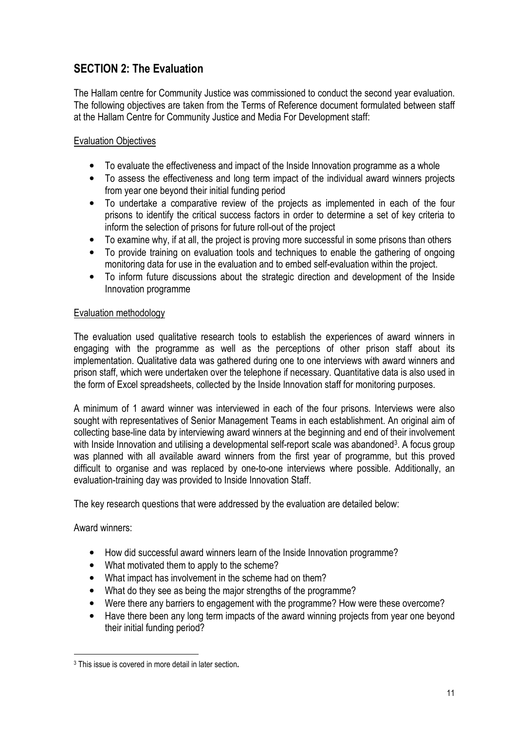## SECTION 2: The Evaluation

The Hallam centre for Community Justice was commissioned to conduct the second year evaluation. The following objectives are taken from the Terms of Reference document formulated between staff at the Hallam Centre for Community Justice and Media For Development staff:

#### Evaluation Objectives

- To evaluate the effectiveness and impact of the Inside Innovation programme as a whole
- To assess the effectiveness and long term impact of the individual award winners projects from year one beyond their initial funding period
- To undertake a comparative review of the projects as implemented in each of the four prisons to identify the critical success factors in order to determine a set of key criteria to inform the selection of prisons for future roll-out of the project
- To examine why, if at all, the project is proving more successful in some prisons than others
- To provide training on evaluation tools and techniques to enable the gathering of ongoing monitoring data for use in the evaluation and to embed self-evaluation within the project.
- To inform future discussions about the strategic direction and development of the Inside Innovation programme

#### Evaluation methodology

The evaluation used qualitative research tools to establish the experiences of award winners in engaging with the programme as well as the perceptions of other prison staff about its implementation. Qualitative data was gathered during one to one interviews with award winners and prison staff, which were undertaken over the telephone if necessary. Quantitative data is also used in the form of Excel spreadsheets, collected by the Inside Innovation staff for monitoring purposes.

A minimum of 1 award winner was interviewed in each of the four prisons. Interviews were also sought with representatives of Senior Management Teams in each establishment. An original aim of collecting base-line data by interviewing award winners at the beginning and end of their involvement with Inside Innovation and utilising a developmental self-report scale was abandoned<sup>3</sup>. A focus group was planned with all available award winners from the first year of programme, but this proved difficult to organise and was replaced by one-to-one interviews where possible. Additionally, an evaluation-training day was provided to Inside Innovation Staff.

The key research questions that were addressed by the evaluation are detailed below:

Award winners:

l.

- How did successful award winners learn of the Inside Innovation programme?
- What motivated them to apply to the scheme?
- What impact has involvement in the scheme had on them?
- What do they see as being the major strengths of the programme?
- Were there any barriers to engagement with the programme? How were these overcome?
- Have there been any long term impacts of the award winning projects from year one beyond their initial funding period?

<sup>3</sup> This issue is covered in more detail in later section.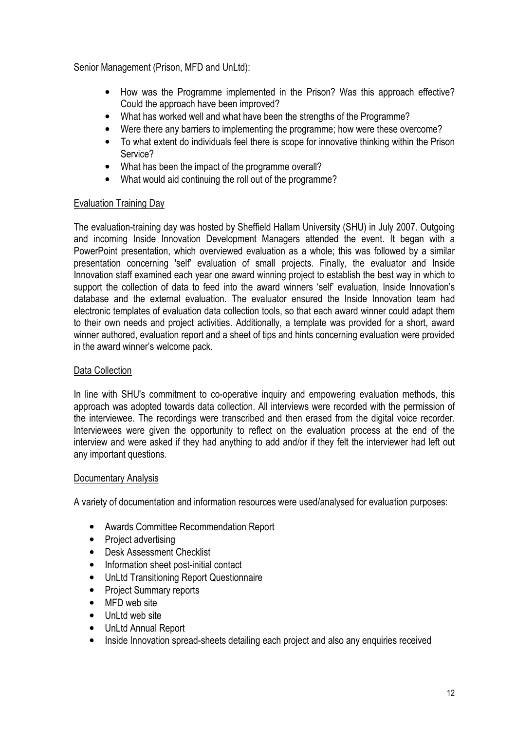Senior Management (Prison, MFD and UnLtd):

- How was the Programme implemented in the Prison? Was this approach effective? Could the approach have been improved?
- What has worked well and what have been the strengths of the Programme?
- Were there any barriers to implementing the programme; how were these overcome?
- To what extent do individuals feel there is scope for innovative thinking within the Prison Service?
- What has been the impact of the programme overall?
- What would aid continuing the roll out of the programme?

#### Evaluation Training Day

The evaluation-training day was hosted by Sheffield Hallam University (SHU) in July 2007. Outgoing and incoming Inside Innovation Development Managers attended the event. It began with a PowerPoint presentation, which overviewed evaluation as a whole; this was followed by a similar presentation concerning 'self' evaluation of small projects. Finally, the evaluator and Inside Innovation staff examined each year one award winning project to establish the best way in which to support the collection of data to feed into the award winners 'self' evaluation, Inside Innovation's database and the external evaluation. The evaluator ensured the Inside Innovation team had electronic templates of evaluation data collection tools, so that each award winner could adapt them to their own needs and project activities. Additionally, a template was provided for a short, award winner authored, evaluation report and a sheet of tips and hints concerning evaluation were provided in the award winner's welcome pack.

#### Data Collection

In line with SHU's commitment to co-operative inquiry and empowering evaluation methods, this approach was adopted towards data collection. All interviews were recorded with the permission of the interviewee. The recordings were transcribed and then erased from the digital voice recorder. Interviewees were given the opportunity to reflect on the evaluation process at the end of the interview and were asked if they had anything to add and/or if they felt the interviewer had left out any important questions.

#### Documentary Analysis

A variety of documentation and information resources were used/analysed for evaluation purposes:

- Awards Committee Recommendation Report
- Project advertising
- Desk Assessment Checklist
- Information sheet post-initial contact
- UnLtd Transitioning Report Questionnaire
- Project Summary reports
- MFD web site
- UnLtd web site
- UnLtd Annual Report
- Inside Innovation spread-sheets detailing each project and also any enquiries received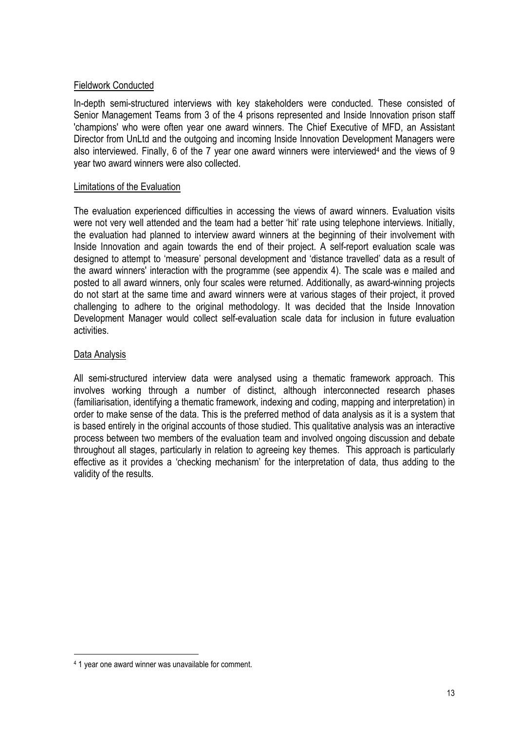#### Fieldwork Conducted

In-depth semi-structured interviews with key stakeholders were conducted. These consisted of Senior Management Teams from 3 of the 4 prisons represented and Inside Innovation prison staff 'champions' who were often year one award winners. The Chief Executive of MFD, an Assistant Director from UnLtd and the outgoing and incoming Inside Innovation Development Managers were also interviewed. Finally, 6 of the 7 year one award winners were interviewed<sup>4</sup> and the views of 9 year two award winners were also collected.

#### Limitations of the Evaluation

The evaluation experienced difficulties in accessing the views of award winners. Evaluation visits were not very well attended and the team had a better 'hit' rate using telephone interviews. Initially, the evaluation had planned to interview award winners at the beginning of their involvement with Inside Innovation and again towards the end of their project. A self-report evaluation scale was designed to attempt to 'measure' personal development and 'distance travelled' data as a result of the award winners' interaction with the programme (see appendix 4). The scale was e mailed and posted to all award winners, only four scales were returned. Additionally, as award-winning projects do not start at the same time and award winners were at various stages of their project, it proved challenging to adhere to the original methodology. It was decided that the Inside Innovation Development Manager would collect self-evaluation scale data for inclusion in future evaluation activities.

#### Data Analysis

l.

All semi-structured interview data were analysed using a thematic framework approach. This involves working through a number of distinct, although interconnected research phases (familiarisation, identifying a thematic framework, indexing and coding, mapping and interpretation) in order to make sense of the data. This is the preferred method of data analysis as it is a system that is based entirely in the original accounts of those studied. This qualitative analysis was an interactive process between two members of the evaluation team and involved ongoing discussion and debate throughout all stages, particularly in relation to agreeing key themes. This approach is particularly effective as it provides a 'checking mechanism' for the interpretation of data, thus adding to the validity of the results.

<sup>4</sup> 1 year one award winner was unavailable for comment.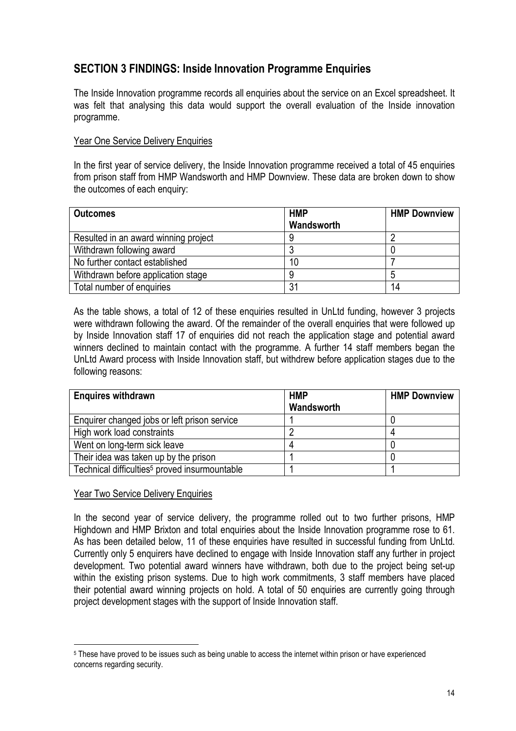## SECTION 3 FINDINGS: Inside Innovation Programme Enquiries

The Inside Innovation programme records all enquiries about the service on an Excel spreadsheet. It was felt that analysing this data would support the overall evaluation of the Inside innovation programme.

#### Year One Service Delivery Enquiries

In the first year of service delivery, the Inside Innovation programme received a total of 45 enquiries from prison staff from HMP Wandsworth and HMP Downview. These data are broken down to show the outcomes of each enquiry:

| <b>Outcomes</b>                      | <b>HMP</b> | <b>HMP Downview</b> |
|--------------------------------------|------------|---------------------|
|                                      | Wandsworth |                     |
| Resulted in an award winning project |            |                     |
| Withdrawn following award            |            |                     |
| No further contact established       | 10         |                     |
| Withdrawn before application stage   | 9          |                     |
| Total number of enquiries            | 31         | 14                  |

As the table shows, a total of 12 of these enquiries resulted in UnLtd funding, however 3 projects were withdrawn following the award. Of the remainder of the overall enquiries that were followed up by Inside Innovation staff 17 of enquiries did not reach the application stage and potential award winners declined to maintain contact with the programme. A further 14 staff members began the UnLtd Award process with Inside Innovation staff, but withdrew before application stages due to the following reasons:

| <b>Enquires withdrawn</b>                                 | <b>HMP</b><br>Wandsworth | <b>HMP Downview</b> |
|-----------------------------------------------------------|--------------------------|---------------------|
| Enquirer changed jobs or left prison service              |                          |                     |
| High work load constraints                                |                          |                     |
| Went on long-term sick leave                              |                          |                     |
| Their idea was taken up by the prison                     |                          |                     |
| Technical difficulties <sup>5</sup> proved insurmountable |                          |                     |

#### Year Two Service Delivery Enquiries

l.

In the second year of service delivery, the programme rolled out to two further prisons, HMP Highdown and HMP Brixton and total enquiries about the Inside Innovation programme rose to 61. As has been detailed below, 11 of these enquiries have resulted in successful funding from UnLtd. Currently only 5 enquirers have declined to engage with Inside Innovation staff any further in project development. Two potential award winners have withdrawn, both due to the project being set-up within the existing prison systems. Due to high work commitments, 3 staff members have placed their potential award winning projects on hold. A total of 50 enquiries are currently going through project development stages with the support of Inside Innovation staff.

<sup>5</sup> These have proved to be issues such as being unable to access the internet within prison or have experienced concerns regarding security.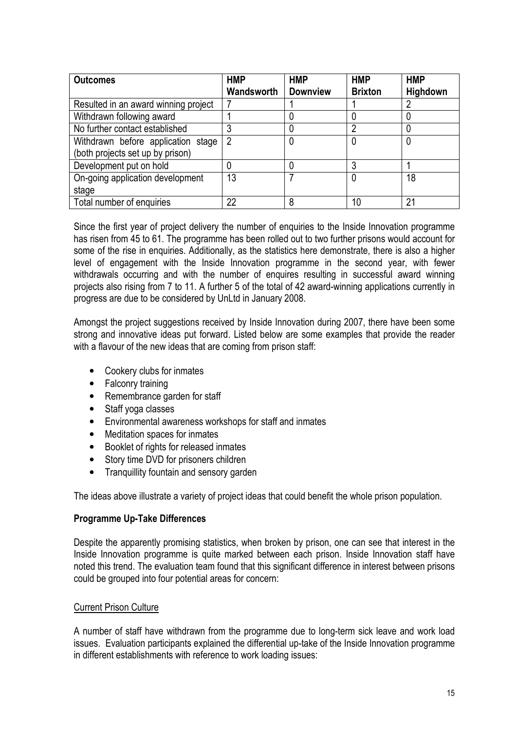| <b>Outcomes</b>                      | <b>HMP</b> | <b>HMP</b>      | <b>HMP</b>     | <b>HMP</b> |
|--------------------------------------|------------|-----------------|----------------|------------|
|                                      | Wandsworth | <b>Downview</b> | <b>Brixton</b> | Highdown   |
| Resulted in an award winning project |            |                 |                |            |
| Withdrawn following award            |            |                 |                |            |
| No further contact established       | 3          |                 | າ              |            |
| Withdrawn before application stage   | 2          | 0               |                |            |
| (both projects set up by prison)     |            |                 |                |            |
| Development put on hold              |            |                 |                |            |
| On-going application development     | 13         |                 |                | 18         |
| stage                                |            |                 |                |            |
| Total number of enquiries            | 22         | 8               | 10             | 21         |

Since the first year of project delivery the number of enquiries to the Inside Innovation programme has risen from 45 to 61. The programme has been rolled out to two further prisons would account for some of the rise in enquiries. Additionally, as the statistics here demonstrate, there is also a higher level of engagement with the Inside Innovation programme in the second year, with fewer withdrawals occurring and with the number of enquires resulting in successful award winning projects also rising from 7 to 11. A further 5 of the total of 42 award-winning applications currently in progress are due to be considered by UnLtd in January 2008.

Amongst the project suggestions received by Inside Innovation during 2007, there have been some strong and innovative ideas put forward. Listed below are some examples that provide the reader with a flavour of the new ideas that are coming from prison staff:

- Cookery clubs for inmates
- Falconry training
- Remembrance garden for staff
- Staff yoga classes
- Environmental awareness workshops for staff and inmates
- Meditation spaces for inmates
- Booklet of rights for released inmates
- Story time DVD for prisoners children
- Tranquillity fountain and sensory garden

The ideas above illustrate a variety of project ideas that could benefit the whole prison population.

#### Programme Up-Take Differences

Despite the apparently promising statistics, when broken by prison, one can see that interest in the Inside Innovation programme is quite marked between each prison. Inside Innovation staff have noted this trend. The evaluation team found that this significant difference in interest between prisons could be grouped into four potential areas for concern:

#### Current Prison Culture

A number of staff have withdrawn from the programme due to long-term sick leave and work load issues. Evaluation participants explained the differential up-take of the Inside Innovation programme in different establishments with reference to work loading issues: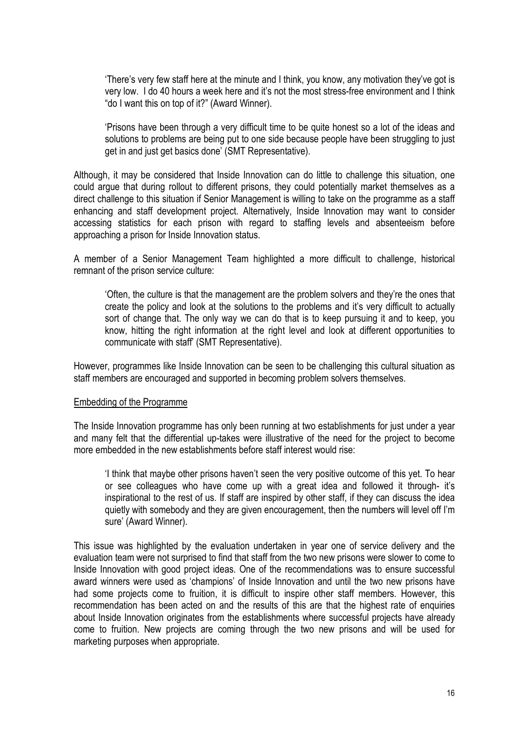'There's very few staff here at the minute and I think, you know, any motivation they've got is very low. I do 40 hours a week here and it's not the most stress-free environment and I think "do I want this on top of it?" (Award Winner).

'Prisons have been through a very difficult time to be quite honest so a lot of the ideas and solutions to problems are being put to one side because people have been struggling to just get in and just get basics done' (SMT Representative).

Although, it may be considered that Inside Innovation can do little to challenge this situation, one could argue that during rollout to different prisons, they could potentially market themselves as a direct challenge to this situation if Senior Management is willing to take on the programme as a staff enhancing and staff development project. Alternatively, Inside Innovation may want to consider accessing statistics for each prison with regard to staffing levels and absenteeism before approaching a prison for Inside Innovation status.

A member of a Senior Management Team highlighted a more difficult to challenge, historical remnant of the prison service culture:

'Often, the culture is that the management are the problem solvers and they're the ones that create the policy and look at the solutions to the problems and it's very difficult to actually sort of change that. The only way we can do that is to keep pursuing it and to keep, you know, hitting the right information at the right level and look at different opportunities to communicate with staff' (SMT Representative).

However, programmes like Inside Innovation can be seen to be challenging this cultural situation as staff members are encouraged and supported in becoming problem solvers themselves.

#### Embedding of the Programme

The Inside Innovation programme has only been running at two establishments for just under a year and many felt that the differential up-takes were illustrative of the need for the project to become more embedded in the new establishments before staff interest would rise:

'I think that maybe other prisons haven't seen the very positive outcome of this yet. To hear or see colleagues who have come up with a great idea and followed it through- it's inspirational to the rest of us. If staff are inspired by other staff, if they can discuss the idea quietly with somebody and they are given encouragement, then the numbers will level off I'm sure' (Award Winner).

This issue was highlighted by the evaluation undertaken in year one of service delivery and the evaluation team were not surprised to find that staff from the two new prisons were slower to come to Inside Innovation with good project ideas. One of the recommendations was to ensure successful award winners were used as 'champions' of Inside Innovation and until the two new prisons have had some projects come to fruition, it is difficult to inspire other staff members. However, this recommendation has been acted on and the results of this are that the highest rate of enquiries about Inside Innovation originates from the establishments where successful projects have already come to fruition. New projects are coming through the two new prisons and will be used for marketing purposes when appropriate.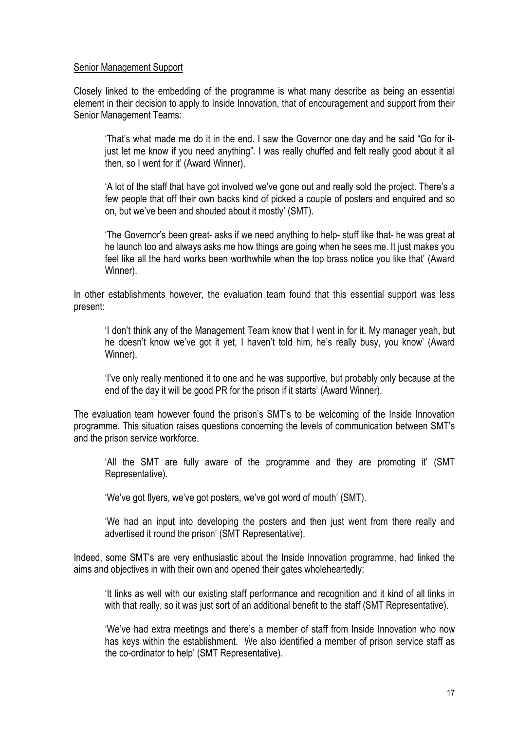#### Senior Management Support

Closely linked to the embedding of the programme is what many describe as being an essential element in their decision to apply to Inside Innovation, that of encouragement and support from their Senior Management Teams:

'That's what made me do it in the end. I saw the Governor one day and he said "Go for itjust let me know if you need anything". I was really chuffed and felt really good about it all then, so I went for it' (Award Winner).

'A lot of the staff that have got involved we've gone out and really sold the project. There's a few people that off their own backs kind of picked a couple of posters and enquired and so on, but we've been and shouted about it mostly' (SMT).

'The Governor's been great- asks if we need anything to help- stuff like that- he was great at he launch too and always asks me how things are going when he sees me. It just makes you feel like all the hard works been worthwhile when the top brass notice you like that' (Award Winner).

In other establishments however, the evaluation team found that this essential support was less present:

'I don't think any of the Management Team know that I went in for it. My manager yeah, but he doesn't know we've got it yet, I haven't told him, he's really busy, you know' (Award Winner).

'I've only really mentioned it to one and he was supportive, but probably only because at the end of the day it will be good PR for the prison if it starts' (Award Winner).

The evaluation team however found the prison's SMT's to be welcoming of the Inside Innovation programme. This situation raises questions concerning the levels of communication between SMT's and the prison service workforce.

'All the SMT are fully aware of the programme and they are promoting it' (SMT Representative).

'We've got flyers, we've got posters, we've got word of mouth' (SMT).

'We had an input into developing the posters and then just went from there really and advertised it round the prison' (SMT Representative).

Indeed, some SMT's are very enthusiastic about the Inside Innovation programme, had linked the aims and objectives in with their own and opened their gates wholeheartedly:

'It links as well with our existing staff performance and recognition and it kind of all links in with that really, so it was just sort of an additional benefit to the staff (SMT Representative).

'We've had extra meetings and there's a member of staff from Inside Innovation who now has keys within the establishment. We also identified a member of prison service staff as the co-ordinator to help' (SMT Representative).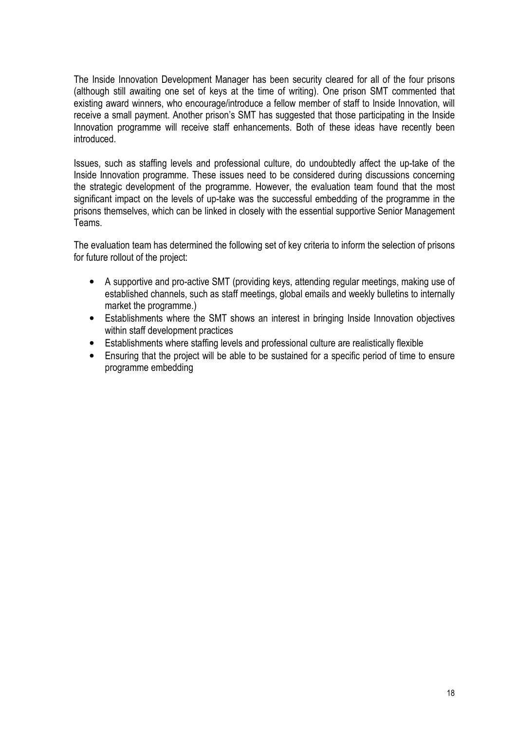The Inside Innovation Development Manager has been security cleared for all of the four prisons (although still awaiting one set of keys at the time of writing). One prison SMT commented that existing award winners, who encourage/introduce a fellow member of staff to Inside Innovation, will receive a small payment. Another prison's SMT has suggested that those participating in the Inside Innovation programme will receive staff enhancements. Both of these ideas have recently been introduced.

Issues, such as staffing levels and professional culture, do undoubtedly affect the up-take of the Inside Innovation programme. These issues need to be considered during discussions concerning the strategic development of the programme. However, the evaluation team found that the most significant impact on the levels of up-take was the successful embedding of the programme in the prisons themselves, which can be linked in closely with the essential supportive Senior Management Teams.

The evaluation team has determined the following set of key criteria to inform the selection of prisons for future rollout of the project:

- A supportive and pro-active SMT (providing keys, attending regular meetings, making use of established channels, such as staff meetings, global emails and weekly bulletins to internally market the programme.)
- Establishments where the SMT shows an interest in bringing Inside Innovation objectives within staff development practices
- Establishments where staffing levels and professional culture are realistically flexible
- Ensuring that the project will be able to be sustained for a specific period of time to ensure programme embedding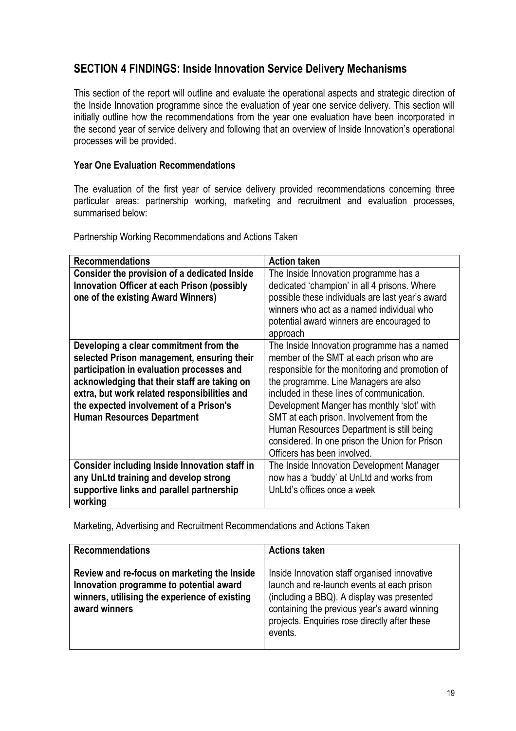## SECTION 4 FINDINGS: Inside Innovation Service Delivery Mechanisms

This section of the report will outline and evaluate the operational aspects and strategic direction of the Inside Innovation programme since the evaluation of year one service delivery. This section will initially outline how the recommendations from the year one evaluation have been incorporated in the second year of service delivery and following that an overview of Inside Innovation's operational processes will be provided.

#### Year One Evaluation Recommendations

The evaluation of the first year of service delivery provided recommendations concerning three particular areas: partnership working, marketing and recruitment and evaluation processes, summarised below:

| <b>Recommendations</b>                        | <b>Action taken</b>                              |
|-----------------------------------------------|--------------------------------------------------|
| Consider the provision of a dedicated Inside  | The Inside Innovation programme has a            |
| Innovation Officer at each Prison (possibly   | dedicated 'champion' in all 4 prisons. Where     |
| one of the existing Award Winners)            | possible these individuals are last year's award |
|                                               | winners who act as a named individual who        |
|                                               | potential award winners are encouraged to        |
|                                               | approach                                         |
| Developing a clear commitment from the        | The Inside Innovation programme has a named      |
| selected Prison management, ensuring their    | member of the SMT at each prison who are         |
| participation in evaluation processes and     | responsible for the monitoring and promotion of  |
| acknowledging that their staff are taking on  | the programme. Line Managers are also            |
| extra, but work related responsibilities and  | included in these lines of communication.        |
| the expected involvement of a Prison's        | Development Manger has monthly 'slot' with       |
| <b>Human Resources Department</b>             | SMT at each prison. Involvement from the         |
|                                               | Human Resources Department is still being        |
|                                               | considered. In one prison the Union for Prison   |
|                                               | Officers has been involved.                      |
| Consider including Inside Innovation staff in | The Inside Innovation Development Manager        |
| any UnLtd training and develop strong         | now has a 'buddy' at UnLtd and works from        |
| supportive links and parallel partnership     | UnLtd's offices once a week                      |
| working                                       |                                                  |

#### Partnership Working Recommendations and Actions Taken

Marketing, Advertising and Recruitment Recommendations and Actions Taken

| <b>Recommendations</b>                                                                                                                                   | <b>Actions taken</b>                                                                                                                                                                                                                                 |
|----------------------------------------------------------------------------------------------------------------------------------------------------------|------------------------------------------------------------------------------------------------------------------------------------------------------------------------------------------------------------------------------------------------------|
| Review and re-focus on marketing the Inside<br>Innovation programme to potential award<br>winners, utilising the experience of existing<br>award winners | Inside Innovation staff organised innovative<br>launch and re-launch events at each prison<br>(including a BBQ). A display was presented<br>containing the previous year's award winning<br>projects. Enquiries rose directly after these<br>events. |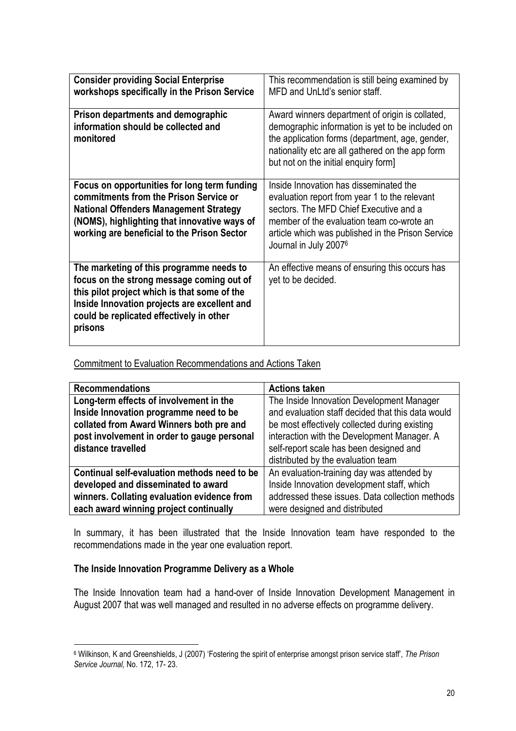| <b>Consider providing Social Enterprise</b><br>workshops specifically in the Prison Service                                                                                                                                                  | This recommendation is still being examined by<br>MFD and UnLtd's senior staff.                                                                                                                                                                              |
|----------------------------------------------------------------------------------------------------------------------------------------------------------------------------------------------------------------------------------------------|--------------------------------------------------------------------------------------------------------------------------------------------------------------------------------------------------------------------------------------------------------------|
| Prison departments and demographic<br>information should be collected and<br>monitored                                                                                                                                                       | Award winners department of origin is collated,<br>demographic information is yet to be included on<br>the application forms (department, age, gender,<br>nationality etc are all gathered on the app form<br>but not on the initial enquiry form]           |
| Focus on opportunities for long term funding<br>commitments from the Prison Service or<br><b>National Offenders Management Strategy</b><br>(NOMS), highlighting that innovative ways of<br>working are beneficial to the Prison Sector       | Inside Innovation has disseminated the<br>evaluation report from year 1 to the relevant<br>sectors. The MFD Chief Executive and a<br>member of the evaluation team co-wrote an<br>article which was published in the Prison Service<br>Journal in July 20076 |
| The marketing of this programme needs to<br>focus on the strong message coming out of<br>this pilot project which is that some of the<br>Inside Innovation projects are excellent and<br>could be replicated effectively in other<br>prisons | An effective means of ensuring this occurs has<br>yet to be decided.                                                                                                                                                                                         |

Commitment to Evaluation Recommendations and Actions Taken

| <b>Recommendations</b>                       | <b>Actions taken</b>                              |
|----------------------------------------------|---------------------------------------------------|
| Long-term effects of involvement in the      | The Inside Innovation Development Manager         |
| Inside Innovation programme need to be       | and evaluation staff decided that this data would |
| collated from Award Winners both pre and     | be most effectively collected during existing     |
| post involvement in order to gauge personal  | interaction with the Development Manager. A       |
| distance travelled                           | self-report scale has been designed and           |
|                                              | distributed by the evaluation team                |
| Continual self-evaluation methods need to be | An evaluation-training day was attended by        |
| developed and disseminated to award          | Inside Innovation development staff, which        |
| winners. Collating evaluation evidence from  | addressed these issues. Data collection methods   |
| each award winning project continually       | were designed and distributed                     |

In summary, it has been illustrated that the Inside Innovation team have responded to the recommendations made in the year one evaluation report.

#### The Inside Innovation Programme Delivery as a Whole

l.

The Inside Innovation team had a hand-over of Inside Innovation Development Management in August 2007 that was well managed and resulted in no adverse effects on programme delivery.

<sup>6</sup> Wilkinson, K and Greenshields, J (2007) 'Fostering the spirit of enterprise amongst prison service staff', The Prison Service Journal, No. 172, 17- 23.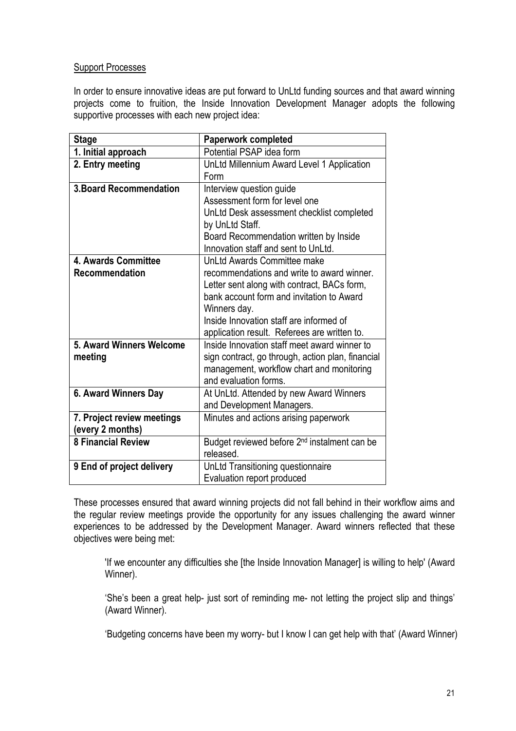#### Support Processes

In order to ensure innovative ideas are put forward to UnLtd funding sources and that award winning projects come to fruition, the Inside Innovation Development Manager adopts the following supportive processes with each new project idea:

| <b>Stage</b>                   | <b>Paperwork completed</b>                               |
|--------------------------------|----------------------------------------------------------|
| 1. Initial approach            | Potential PSAP idea form                                 |
| 2. Entry meeting               | UnLtd Millennium Award Level 1 Application               |
|                                | Form                                                     |
| <b>3. Board Recommendation</b> | Interview question guide                                 |
|                                | Assessment form for level one                            |
|                                | UnLtd Desk assessment checklist completed                |
|                                | by UnLtd Staff.                                          |
|                                | Board Recommendation written by Inside                   |
|                                | Innovation staff and sent to UnLtd.                      |
| 4. Awards Committee            | UnLtd Awards Committee make                              |
| Recommendation                 | recommendations and write to award winner.               |
|                                | Letter sent along with contract, BACs form,              |
|                                | bank account form and invitation to Award                |
|                                | Winners day.                                             |
|                                | Inside Innovation staff are informed of                  |
|                                | application result. Referees are written to.             |
| 5. Award Winners Welcome       | Inside Innovation staff meet award winner to             |
| meeting                        | sign contract, go through, action plan, financial        |
|                                | management, workflow chart and monitoring                |
|                                | and evaluation forms.                                    |
| 6. Award Winners Day           | At UnLtd. Attended by new Award Winners                  |
|                                | and Development Managers.                                |
| 7. Project review meetings     | Minutes and actions arising paperwork                    |
| (every 2 months)               |                                                          |
| <b>8 Financial Review</b>      | Budget reviewed before 2 <sup>nd</sup> instalment can be |
|                                | released.                                                |
| 9 End of project delivery      | UnLtd Transitioning questionnaire                        |
|                                | Evaluation report produced                               |

These processes ensured that award winning projects did not fall behind in their workflow aims and the regular review meetings provide the opportunity for any issues challenging the award winner experiences to be addressed by the Development Manager. Award winners reflected that these objectives were being met:

'If we encounter any difficulties she [the Inside Innovation Manager] is willing to help' (Award Winner).

'She's been a great help- just sort of reminding me- not letting the project slip and things' (Award Winner).

'Budgeting concerns have been my worry- but I know I can get help with that' (Award Winner)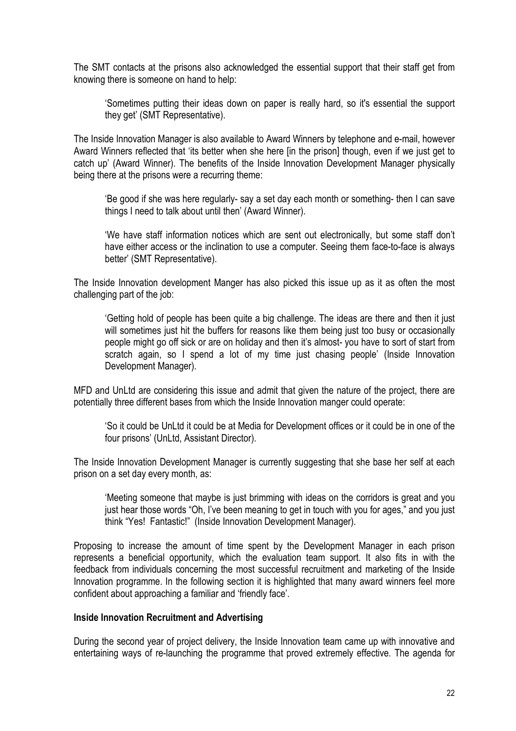The SMT contacts at the prisons also acknowledged the essential support that their staff get from knowing there is someone on hand to help:

'Sometimes putting their ideas down on paper is really hard, so it's essential the support they get' (SMT Representative).

The Inside Innovation Manager is also available to Award Winners by telephone and e-mail, however Award Winners reflected that 'its better when she here [in the prison] though, even if we just get to catch up' (Award Winner). The benefits of the Inside Innovation Development Manager physically being there at the prisons were a recurring theme:

'Be good if she was here regularly- say a set day each month or something- then I can save things I need to talk about until then' (Award Winner).

'We have staff information notices which are sent out electronically, but some staff don't have either access or the inclination to use a computer. Seeing them face-to-face is always better' (SMT Representative).

The Inside Innovation development Manger has also picked this issue up as it as often the most challenging part of the job:

'Getting hold of people has been quite a big challenge. The ideas are there and then it just will sometimes just hit the buffers for reasons like them being just too busy or occasionally people might go off sick or are on holiday and then it's almost- you have to sort of start from scratch again, so I spend a lot of my time just chasing people' (Inside Innovation Development Manager).

MFD and UnLtd are considering this issue and admit that given the nature of the project, there are potentially three different bases from which the Inside Innovation manger could operate:

'So it could be UnLtd it could be at Media for Development offices or it could be in one of the four prisons' (UnLtd, Assistant Director).

The Inside Innovation Development Manager is currently suggesting that she base her self at each prison on a set day every month, as:

'Meeting someone that maybe is just brimming with ideas on the corridors is great and you just hear those words "Oh, I've been meaning to get in touch with you for ages," and you just think "Yes! Fantastic!" (Inside Innovation Development Manager).

Proposing to increase the amount of time spent by the Development Manager in each prison represents a beneficial opportunity, which the evaluation team support. It also fits in with the feedback from individuals concerning the most successful recruitment and marketing of the Inside Innovation programme. In the following section it is highlighted that many award winners feel more confident about approaching a familiar and 'friendly face'.

#### Inside Innovation Recruitment and Advertising

During the second year of project delivery, the Inside Innovation team came up with innovative and entertaining ways of re-launching the programme that proved extremely effective. The agenda for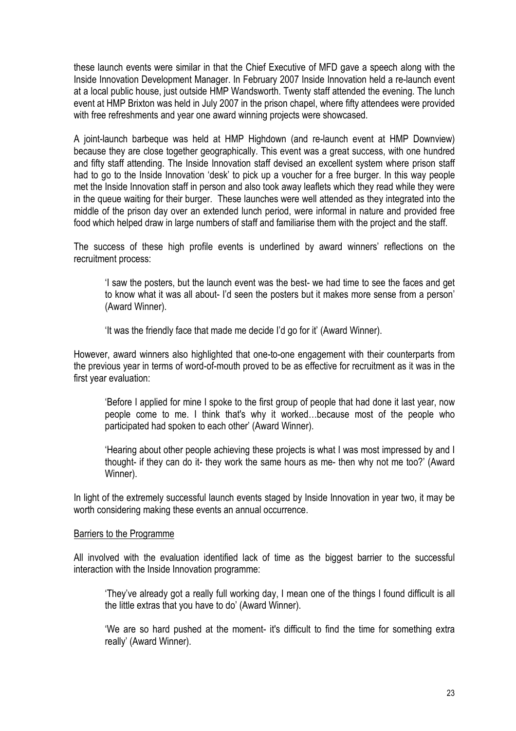these launch events were similar in that the Chief Executive of MFD gave a speech along with the Inside Innovation Development Manager. In February 2007 Inside Innovation held a re-launch event at a local public house, just outside HMP Wandsworth. Twenty staff attended the evening. The lunch event at HMP Brixton was held in July 2007 in the prison chapel, where fifty attendees were provided with free refreshments and year one award winning projects were showcased.

A joint-launch barbeque was held at HMP Highdown (and re-launch event at HMP Downview) because they are close together geographically. This event was a great success, with one hundred and fifty staff attending. The Inside Innovation staff devised an excellent system where prison staff had to go to the Inside Innovation 'desk' to pick up a voucher for a free burger. In this way people met the Inside Innovation staff in person and also took away leaflets which they read while they were in the queue waiting for their burger. These launches were well attended as they integrated into the middle of the prison day over an extended lunch period, were informal in nature and provided free food which helped draw in large numbers of staff and familiarise them with the project and the staff.

The success of these high profile events is underlined by award winners' reflections on the recruitment process:

'I saw the posters, but the launch event was the best- we had time to see the faces and get to know what it was all about- I'd seen the posters but it makes more sense from a person' (Award Winner).

'It was the friendly face that made me decide I'd go for it' (Award Winner).

However, award winners also highlighted that one-to-one engagement with their counterparts from the previous year in terms of word-of-mouth proved to be as effective for recruitment as it was in the first year evaluation:

'Before I applied for mine I spoke to the first group of people that had done it last year, now people come to me. I think that's why it worked…because most of the people who participated had spoken to each other' (Award Winner).

'Hearing about other people achieving these projects is what I was most impressed by and I thought- if they can do it- they work the same hours as me- then why not me too?' (Award Winner).

In light of the extremely successful launch events staged by Inside Innovation in year two, it may be worth considering making these events an annual occurrence.

#### Barriers to the Programme

All involved with the evaluation identified lack of time as the biggest barrier to the successful interaction with the Inside Innovation programme:

'They've already got a really full working day, I mean one of the things I found difficult is all the little extras that you have to do' (Award Winner).

'We are so hard pushed at the moment- it's difficult to find the time for something extra really' (Award Winner).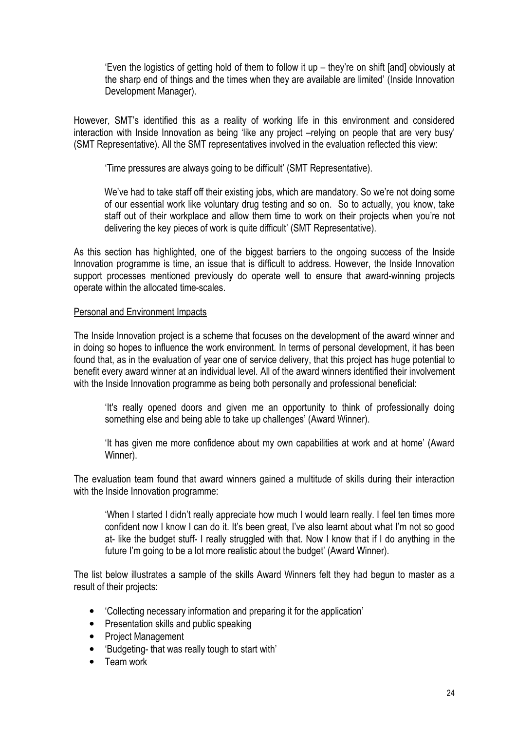'Even the logistics of getting hold of them to follow it up – they're on shift [and] obviously at the sharp end of things and the times when they are available are limited' (Inside Innovation Development Manager).

However, SMT's identified this as a reality of working life in this environment and considered interaction with Inside Innovation as being 'like any project –relying on people that are very busy' (SMT Representative). All the SMT representatives involved in the evaluation reflected this view:

'Time pressures are always going to be difficult' (SMT Representative).

We've had to take staff off their existing jobs, which are mandatory. So we're not doing some of our essential work like voluntary drug testing and so on. So to actually, you know, take staff out of their workplace and allow them time to work on their projects when you're not delivering the key pieces of work is quite difficult' (SMT Representative).

As this section has highlighted, one of the biggest barriers to the ongoing success of the Inside Innovation programme is time, an issue that is difficult to address. However, the Inside Innovation support processes mentioned previously do operate well to ensure that award-winning projects operate within the allocated time-scales.

#### Personal and Environment Impacts

The Inside Innovation project is a scheme that focuses on the development of the award winner and in doing so hopes to influence the work environment. In terms of personal development, it has been found that, as in the evaluation of year one of service delivery, that this project has huge potential to benefit every award winner at an individual level. All of the award winners identified their involvement with the Inside Innovation programme as being both personally and professional beneficial:

'It's really opened doors and given me an opportunity to think of professionally doing something else and being able to take up challenges' (Award Winner).

'It has given me more confidence about my own capabilities at work and at home' (Award Winner).

The evaluation team found that award winners gained a multitude of skills during their interaction with the Inside Innovation programme:

'When I started I didn't really appreciate how much I would learn really. I feel ten times more confident now I know I can do it. It's been great, I've also learnt about what I'm not so good at- like the budget stuff- I really struggled with that. Now I know that if I do anything in the future I'm going to be a lot more realistic about the budget' (Award Winner).

The list below illustrates a sample of the skills Award Winners felt they had begun to master as a result of their projects:

- 'Collecting necessary information and preparing it for the application'
- Presentation skills and public speaking
- Project Management
- 'Budgeting- that was really tough to start with'
- Team work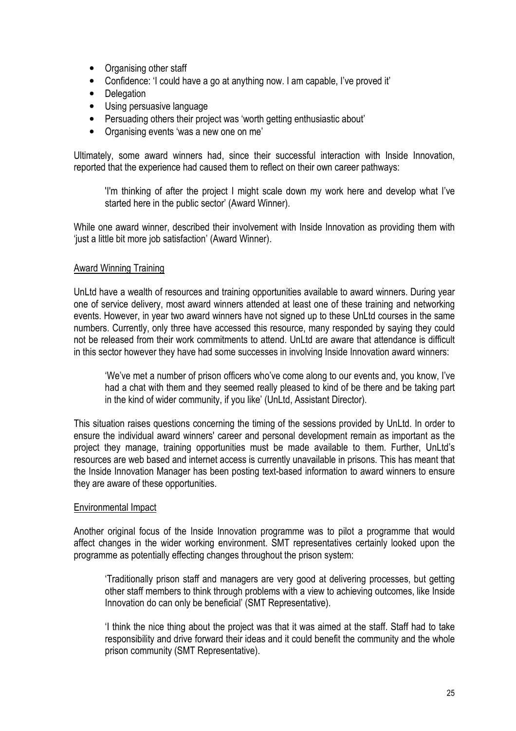- Organising other staff
- Confidence: 'I could have a go at anything now. I am capable, I've proved it'
- Delegation
- Using persuasive language
- Persuading others their project was 'worth getting enthusiastic about'
- Organising events 'was a new one on me'

Ultimately, some award winners had, since their successful interaction with Inside Innovation, reported that the experience had caused them to reflect on their own career pathways:

'I'm thinking of after the project I might scale down my work here and develop what I've started here in the public sector' (Award Winner).

While one award winner, described their involvement with Inside Innovation as providing them with 'just a little bit more job satisfaction' (Award Winner).

#### Award Winning Training

UnLtd have a wealth of resources and training opportunities available to award winners. During year one of service delivery, most award winners attended at least one of these training and networking events. However, in year two award winners have not signed up to these UnLtd courses in the same numbers. Currently, only three have accessed this resource, many responded by saying they could not be released from their work commitments to attend. UnLtd are aware that attendance is difficult in this sector however they have had some successes in involving Inside Innovation award winners:

'We've met a number of prison officers who've come along to our events and, you know, I've had a chat with them and they seemed really pleased to kind of be there and be taking part in the kind of wider community, if you like' (UnLtd, Assistant Director).

This situation raises questions concerning the timing of the sessions provided by UnLtd. In order to ensure the individual award winners' career and personal development remain as important as the project they manage, training opportunities must be made available to them. Further, UnLtd's resources are web based and internet access is currently unavailable in prisons. This has meant that the Inside Innovation Manager has been posting text-based information to award winners to ensure they are aware of these opportunities.

#### Environmental Impact

Another original focus of the Inside Innovation programme was to pilot a programme that would affect changes in the wider working environment. SMT representatives certainly looked upon the programme as potentially effecting changes throughout the prison system:

'Traditionally prison staff and managers are very good at delivering processes, but getting other staff members to think through problems with a view to achieving outcomes, like Inside Innovation do can only be beneficial' (SMT Representative).

'I think the nice thing about the project was that it was aimed at the staff. Staff had to take responsibility and drive forward their ideas and it could benefit the community and the whole prison community (SMT Representative).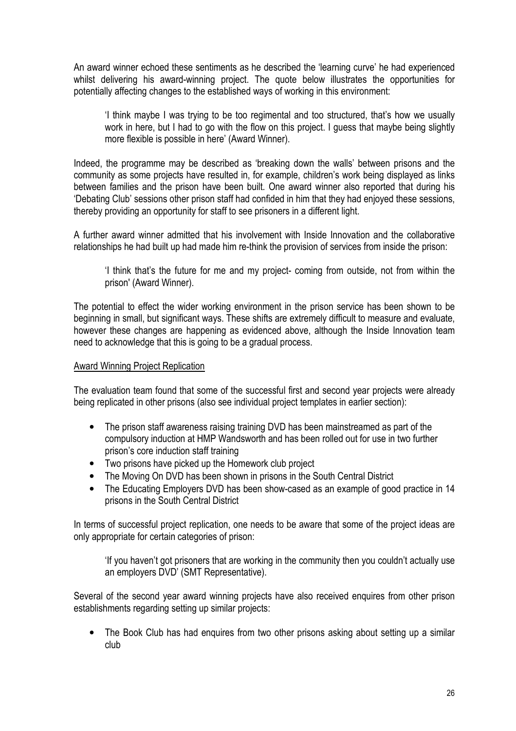An award winner echoed these sentiments as he described the 'learning curve' he had experienced whilst delivering his award-winning project. The quote below illustrates the opportunities for potentially affecting changes to the established ways of working in this environment:

'I think maybe I was trying to be too regimental and too structured, that's how we usually work in here, but I had to go with the flow on this project. I guess that maybe being slightly more flexible is possible in here' (Award Winner).

Indeed, the programme may be described as 'breaking down the walls' between prisons and the community as some projects have resulted in, for example, children's work being displayed as links between families and the prison have been built. One award winner also reported that during his 'Debating Club' sessions other prison staff had confided in him that they had enjoyed these sessions, thereby providing an opportunity for staff to see prisoners in a different light.

A further award winner admitted that his involvement with Inside Innovation and the collaborative relationships he had built up had made him re-think the provision of services from inside the prison:

'I think that's the future for me and my project- coming from outside, not from within the prison' (Award Winner).

The potential to effect the wider working environment in the prison service has been shown to be beginning in small, but significant ways. These shifts are extremely difficult to measure and evaluate, however these changes are happening as evidenced above, although the Inside Innovation team need to acknowledge that this is going to be a gradual process.

#### Award Winning Project Replication

The evaluation team found that some of the successful first and second year projects were already being replicated in other prisons (also see individual project templates in earlier section):

- The prison staff awareness raising training DVD has been mainstreamed as part of the compulsory induction at HMP Wandsworth and has been rolled out for use in two further prison's core induction staff training
- Two prisons have picked up the Homework club project
- The Moving On DVD has been shown in prisons in the South Central District
- The Educating Employers DVD has been show-cased as an example of good practice in 14 prisons in the South Central District

In terms of successful project replication, one needs to be aware that some of the project ideas are only appropriate for certain categories of prison:

'If you haven't got prisoners that are working in the community then you couldn't actually use an employers DVD' (SMT Representative).

Several of the second year award winning projects have also received enquires from other prison establishments regarding setting up similar projects:

• The Book Club has had enquires from two other prisons asking about setting up a similar club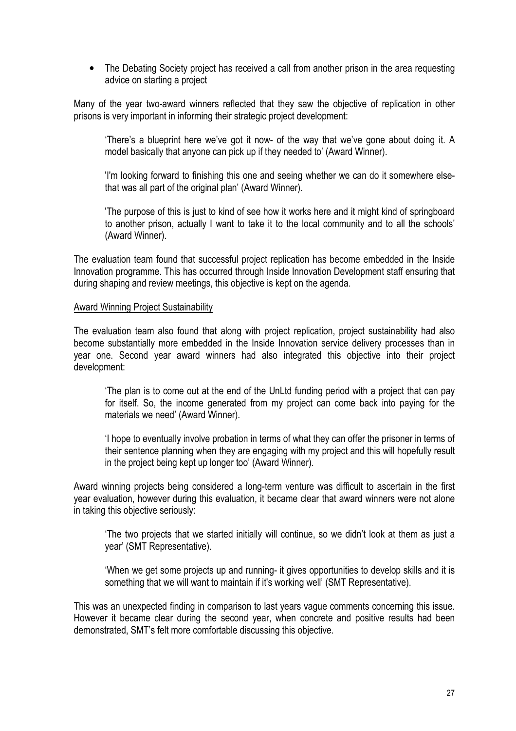• The Debating Society project has received a call from another prison in the area requesting advice on starting a project

Many of the year two-award winners reflected that they saw the objective of replication in other prisons is very important in informing their strategic project development:

'There's a blueprint here we've got it now- of the way that we've gone about doing it. A model basically that anyone can pick up if they needed to' (Award Winner).

'I'm looking forward to finishing this one and seeing whether we can do it somewhere elsethat was all part of the original plan' (Award Winner).

'The purpose of this is just to kind of see how it works here and it might kind of springboard to another prison, actually I want to take it to the local community and to all the schools' (Award Winner).

The evaluation team found that successful project replication has become embedded in the Inside Innovation programme. This has occurred through Inside Innovation Development staff ensuring that during shaping and review meetings, this objective is kept on the agenda.

#### Award Winning Project Sustainability

The evaluation team also found that along with project replication, project sustainability had also become substantially more embedded in the Inside Innovation service delivery processes than in year one. Second year award winners had also integrated this objective into their project development:

'The plan is to come out at the end of the UnLtd funding period with a project that can pay for itself. So, the income generated from my project can come back into paying for the materials we need' (Award Winner).

'I hope to eventually involve probation in terms of what they can offer the prisoner in terms of their sentence planning when they are engaging with my project and this will hopefully result in the project being kept up longer too' (Award Winner).

Award winning projects being considered a long-term venture was difficult to ascertain in the first year evaluation, however during this evaluation, it became clear that award winners were not alone in taking this objective seriously:

'The two projects that we started initially will continue, so we didn't look at them as just a year' (SMT Representative).

'When we get some projects up and running- it gives opportunities to develop skills and it is something that we will want to maintain if it's working well' (SMT Representative).

This was an unexpected finding in comparison to last years vague comments concerning this issue. However it became clear during the second year, when concrete and positive results had been demonstrated, SMT's felt more comfortable discussing this objective.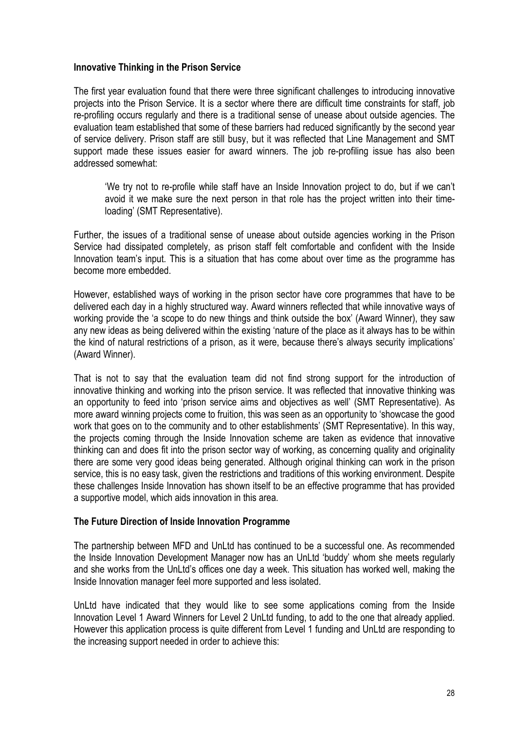#### Innovative Thinking in the Prison Service

The first year evaluation found that there were three significant challenges to introducing innovative projects into the Prison Service. It is a sector where there are difficult time constraints for staff, job re-profiling occurs regularly and there is a traditional sense of unease about outside agencies. The evaluation team established that some of these barriers had reduced significantly by the second year of service delivery. Prison staff are still busy, but it was reflected that Line Management and SMT support made these issues easier for award winners. The job re-profiling issue has also been addressed somewhat:

'We try not to re-profile while staff have an Inside Innovation project to do, but if we can't avoid it we make sure the next person in that role has the project written into their timeloading' (SMT Representative).

Further, the issues of a traditional sense of unease about outside agencies working in the Prison Service had dissipated completely, as prison staff felt comfortable and confident with the Inside Innovation team's input. This is a situation that has come about over time as the programme has become more embedded.

However, established ways of working in the prison sector have core programmes that have to be delivered each day in a highly structured way. Award winners reflected that while innovative ways of working provide the 'a scope to do new things and think outside the box' (Award Winner), they saw any new ideas as being delivered within the existing 'nature of the place as it always has to be within the kind of natural restrictions of a prison, as it were, because there's always security implications' (Award Winner).

That is not to say that the evaluation team did not find strong support for the introduction of innovative thinking and working into the prison service. It was reflected that innovative thinking was an opportunity to feed into 'prison service aims and objectives as well' (SMT Representative). As more award winning projects come to fruition, this was seen as an opportunity to 'showcase the good work that goes on to the community and to other establishments' (SMT Representative). In this way, the projects coming through the Inside Innovation scheme are taken as evidence that innovative thinking can and does fit into the prison sector way of working, as concerning quality and originality there are some very good ideas being generated. Although original thinking can work in the prison service, this is no easy task, given the restrictions and traditions of this working environment. Despite these challenges Inside Innovation has shown itself to be an effective programme that has provided a supportive model, which aids innovation in this area.

#### The Future Direction of Inside Innovation Programme

The partnership between MFD and UnLtd has continued to be a successful one. As recommended the Inside Innovation Development Manager now has an UnLtd 'buddy' whom she meets regularly and she works from the UnLtd's offices one day a week. This situation has worked well, making the Inside Innovation manager feel more supported and less isolated.

UnLtd have indicated that they would like to see some applications coming from the Inside Innovation Level 1 Award Winners for Level 2 UnLtd funding, to add to the one that already applied. However this application process is quite different from Level 1 funding and UnLtd are responding to the increasing support needed in order to achieve this: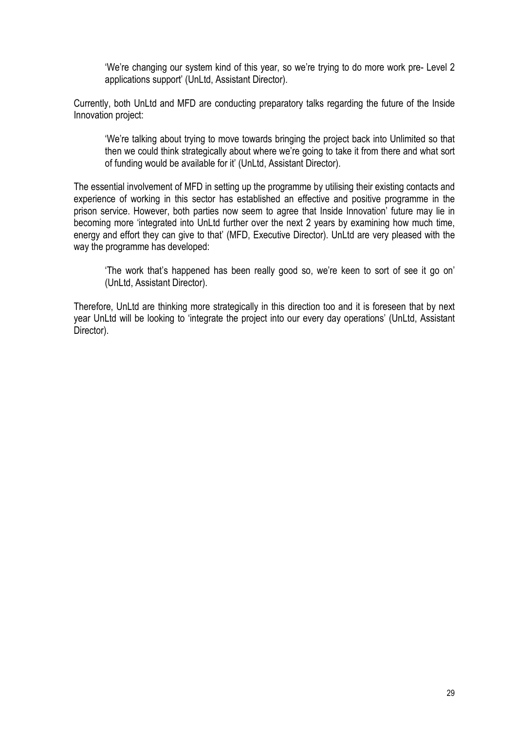'We're changing our system kind of this year, so we're trying to do more work pre- Level 2 applications support' (UnLtd, Assistant Director).

Currently, both UnLtd and MFD are conducting preparatory talks regarding the future of the Inside Innovation project:

'We're talking about trying to move towards bringing the project back into Unlimited so that then we could think strategically about where we're going to take it from there and what sort of funding would be available for it' (UnLtd, Assistant Director).

The essential involvement of MFD in setting up the programme by utilising their existing contacts and experience of working in this sector has established an effective and positive programme in the prison service. However, both parties now seem to agree that Inside Innovation' future may lie in becoming more 'integrated into UnLtd further over the next 2 years by examining how much time, energy and effort they can give to that' (MFD, Executive Director). UnLtd are very pleased with the way the programme has developed:

'The work that's happened has been really good so, we're keen to sort of see it go on' (UnLtd, Assistant Director).

Therefore, UnLtd are thinking more strategically in this direction too and it is foreseen that by next year UnLtd will be looking to 'integrate the project into our every day operations' (UnLtd, Assistant Director).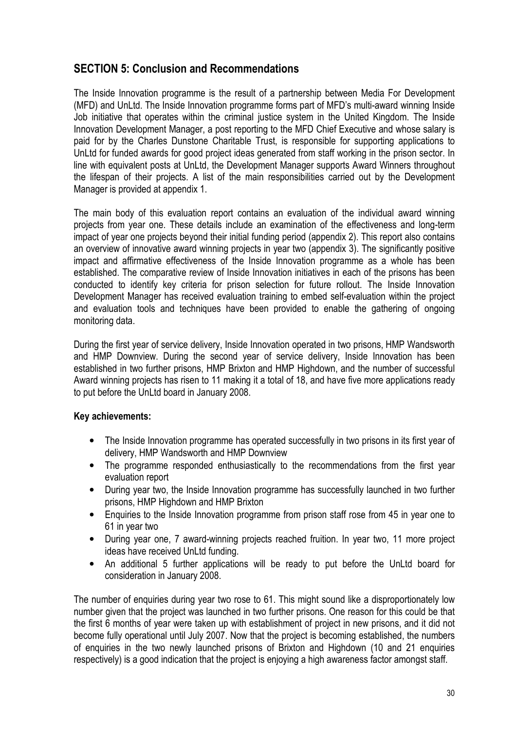## SECTION 5: Conclusion and Recommendations

The Inside Innovation programme is the result of a partnership between Media For Development (MFD) and UnLtd. The Inside Innovation programme forms part of MFD's multi-award winning Inside Job initiative that operates within the criminal justice system in the United Kingdom. The Inside Innovation Development Manager, a post reporting to the MFD Chief Executive and whose salary is paid for by the Charles Dunstone Charitable Trust, is responsible for supporting applications to UnLtd for funded awards for good project ideas generated from staff working in the prison sector. In line with equivalent posts at UnLtd, the Development Manager supports Award Winners throughout the lifespan of their projects. A list of the main responsibilities carried out by the Development Manager is provided at appendix 1.

The main body of this evaluation report contains an evaluation of the individual award winning projects from year one. These details include an examination of the effectiveness and long-term impact of year one projects beyond their initial funding period (appendix 2). This report also contains an overview of innovative award winning projects in year two (appendix 3). The significantly positive impact and affirmative effectiveness of the Inside Innovation programme as a whole has been established. The comparative review of Inside Innovation initiatives in each of the prisons has been conducted to identify key criteria for prison selection for future rollout. The Inside Innovation Development Manager has received evaluation training to embed self-evaluation within the project and evaluation tools and techniques have been provided to enable the gathering of ongoing monitoring data.

During the first year of service delivery, Inside Innovation operated in two prisons, HMP Wandsworth and HMP Downview. During the second year of service delivery, Inside Innovation has been established in two further prisons, HMP Brixton and HMP Highdown, and the number of successful Award winning projects has risen to 11 making it a total of 18, and have five more applications ready to put before the UnLtd board in January 2008.

#### Key achievements:

- The Inside Innovation programme has operated successfully in two prisons in its first year of delivery, HMP Wandsworth and HMP Downview
- The programme responded enthusiastically to the recommendations from the first year evaluation report
- During year two, the Inside Innovation programme has successfully launched in two further prisons, HMP Highdown and HMP Brixton
- Enquiries to the Inside Innovation programme from prison staff rose from 45 in year one to 61 in year two
- During year one, 7 award-winning projects reached fruition. In year two, 11 more project ideas have received UnLtd funding.
- An additional 5 further applications will be ready to put before the UnLtd board for consideration in January 2008.

The number of enquiries during year two rose to 61. This might sound like a disproportionately low number given that the project was launched in two further prisons. One reason for this could be that the first 6 months of year were taken up with establishment of project in new prisons, and it did not become fully operational until July 2007. Now that the project is becoming established, the numbers of enquiries in the two newly launched prisons of Brixton and Highdown (10 and 21 enquiries respectively) is a good indication that the project is enjoying a high awareness factor amongst staff.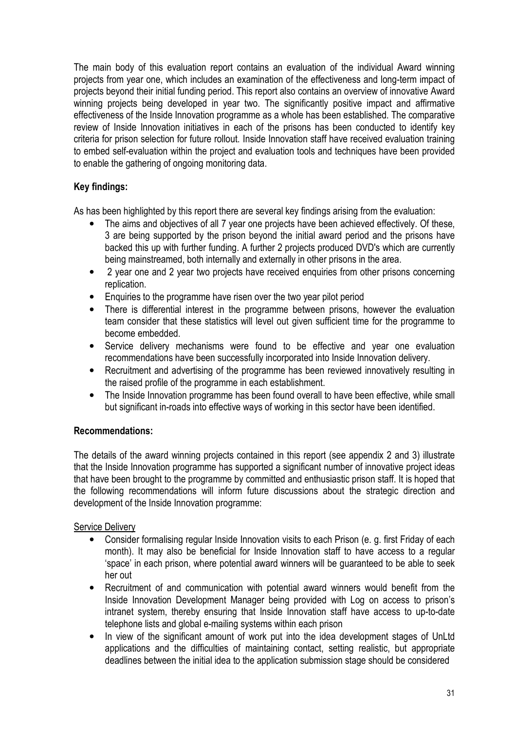The main body of this evaluation report contains an evaluation of the individual Award winning projects from year one, which includes an examination of the effectiveness and long-term impact of projects beyond their initial funding period. This report also contains an overview of innovative Award winning projects being developed in year two. The significantly positive impact and affirmative effectiveness of the Inside Innovation programme as a whole has been established. The comparative review of Inside Innovation initiatives in each of the prisons has been conducted to identify key criteria for prison selection for future rollout. Inside Innovation staff have received evaluation training to embed self-evaluation within the project and evaluation tools and techniques have been provided to enable the gathering of ongoing monitoring data.

#### Key findings:

As has been highlighted by this report there are several key findings arising from the evaluation:

- The aims and objectives of all 7 year one projects have been achieved effectively. Of these, 3 are being supported by the prison beyond the initial award period and the prisons have backed this up with further funding. A further 2 projects produced DVD's which are currently being mainstreamed, both internally and externally in other prisons in the area.
- 2 year one and 2 year two projects have received enquiries from other prisons concerning replication.
- Enquiries to the programme have risen over the two year pilot period
- There is differential interest in the programme between prisons, however the evaluation team consider that these statistics will level out given sufficient time for the programme to become embedded.
- Service delivery mechanisms were found to be effective and year one evaluation recommendations have been successfully incorporated into Inside Innovation delivery.
- Recruitment and advertising of the programme has been reviewed innovatively resulting in the raised profile of the programme in each establishment.
- The Inside Innovation programme has been found overall to have been effective, while small but significant in-roads into effective ways of working in this sector have been identified.

#### Recommendations:

The details of the award winning projects contained in this report (see appendix 2 and 3) illustrate that the Inside Innovation programme has supported a significant number of innovative project ideas that have been brought to the programme by committed and enthusiastic prison staff. It is hoped that the following recommendations will inform future discussions about the strategic direction and development of the Inside Innovation programme:

#### Service Delivery

- Consider formalising regular Inside Innovation visits to each Prison (e. g. first Friday of each month). It may also be beneficial for Inside Innovation staff to have access to a regular 'space' in each prison, where potential award winners will be guaranteed to be able to seek her out
- Recruitment of and communication with potential award winners would benefit from the Inside Innovation Development Manager being provided with Log on access to prison's intranet system, thereby ensuring that Inside Innovation staff have access to up-to-date telephone lists and global e-mailing systems within each prison
- In view of the significant amount of work put into the idea development stages of UnLtd applications and the difficulties of maintaining contact, setting realistic, but appropriate deadlines between the initial idea to the application submission stage should be considered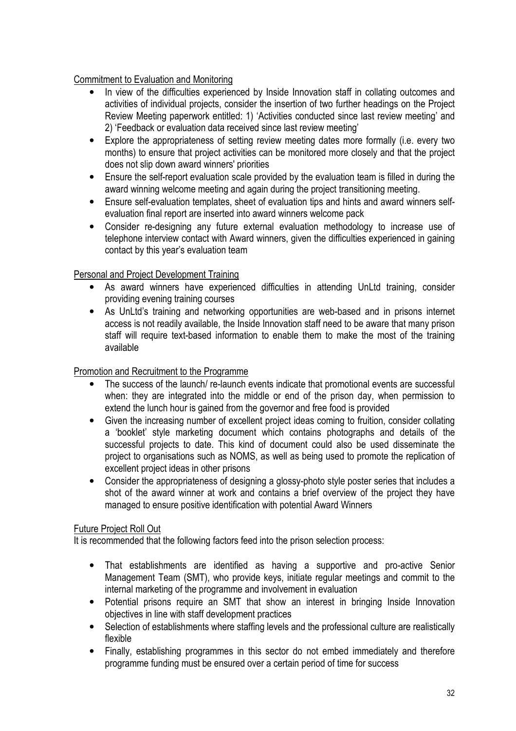#### Commitment to Evaluation and Monitoring

- In view of the difficulties experienced by Inside Innovation staff in collating outcomes and activities of individual projects, consider the insertion of two further headings on the Project Review Meeting paperwork entitled: 1) 'Activities conducted since last review meeting' and 2) 'Feedback or evaluation data received since last review meeting'
- Explore the appropriateness of setting review meeting dates more formally (i.e. every two months) to ensure that project activities can be monitored more closely and that the project does not slip down award winners' priorities
- Ensure the self-report evaluation scale provided by the evaluation team is filled in during the award winning welcome meeting and again during the project transitioning meeting.
- Ensure self-evaluation templates, sheet of evaluation tips and hints and award winners selfevaluation final report are inserted into award winners welcome pack
- Consider re-designing any future external evaluation methodology to increase use of telephone interview contact with Award winners, given the difficulties experienced in gaining contact by this year's evaluation team

#### Personal and Project Development Training

- As award winners have experienced difficulties in attending UnLtd training, consider providing evening training courses
- As UnLtd's training and networking opportunities are web-based and in prisons internet access is not readily available, the Inside Innovation staff need to be aware that many prison staff will require text-based information to enable them to make the most of the training available

#### Promotion and Recruitment to the Programme

- The success of the launch/ re-launch events indicate that promotional events are successful when: they are integrated into the middle or end of the prison day, when permission to extend the lunch hour is gained from the governor and free food is provided
- Given the increasing number of excellent project ideas coming to fruition, consider collating a 'booklet' style marketing document which contains photographs and details of the successful projects to date. This kind of document could also be used disseminate the project to organisations such as NOMS, as well as being used to promote the replication of excellent project ideas in other prisons
- Consider the appropriateness of designing a glossy-photo style poster series that includes a shot of the award winner at work and contains a brief overview of the project they have managed to ensure positive identification with potential Award Winners

#### Future Project Roll Out

It is recommended that the following factors feed into the prison selection process:

- That establishments are identified as having a supportive and pro-active Senior Management Team (SMT), who provide keys, initiate regular meetings and commit to the internal marketing of the programme and involvement in evaluation
- Potential prisons require an SMT that show an interest in bringing Inside Innovation objectives in line with staff development practices
- Selection of establishments where staffing levels and the professional culture are realistically flexible
- Finally, establishing programmes in this sector do not embed immediately and therefore programme funding must be ensured over a certain period of time for success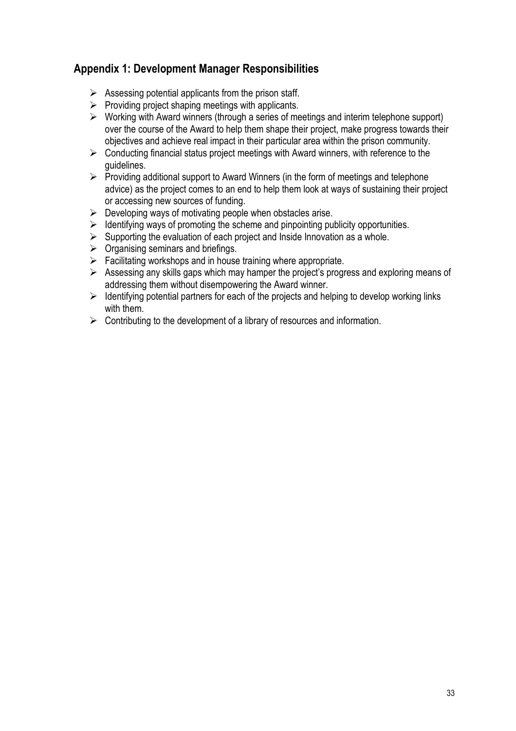## Appendix 1: Development Manager Responsibilities

- $\triangleright$  Assessing potential applicants from the prison staff.
- $\triangleright$  Providing project shaping meetings with applicants.
- $\triangleright$  Working with Award winners (through a series of meetings and interim telephone support) over the course of the Award to help them shape their project, make progress towards their objectives and achieve real impact in their particular area within the prison community.
- $\triangleright$  Conducting financial status project meetings with Award winners, with reference to the guidelines.
- $\triangleright$  Providing additional support to Award Winners (in the form of meetings and telephone advice) as the project comes to an end to help them look at ways of sustaining their project or accessing new sources of funding.
- $\triangleright$  Developing ways of motivating people when obstacles arise.
- $\geq$  Identifying ways of promoting the scheme and pinpointing publicity opportunities.
- $\triangleright$  Supporting the evaluation of each project and Inside Innovation as a whole.
- $\triangleright$  Organising seminars and briefings.
- $\triangleright$  Facilitating workshops and in house training where appropriate.
- $\triangleright$  Assessing any skills gaps which may hamper the project's progress and exploring means of addressing them without disempowering the Award winner.
- $\triangleright$  Identifying potential partners for each of the projects and helping to develop working links with them.
- $\triangleright$  Contributing to the development of a library of resources and information.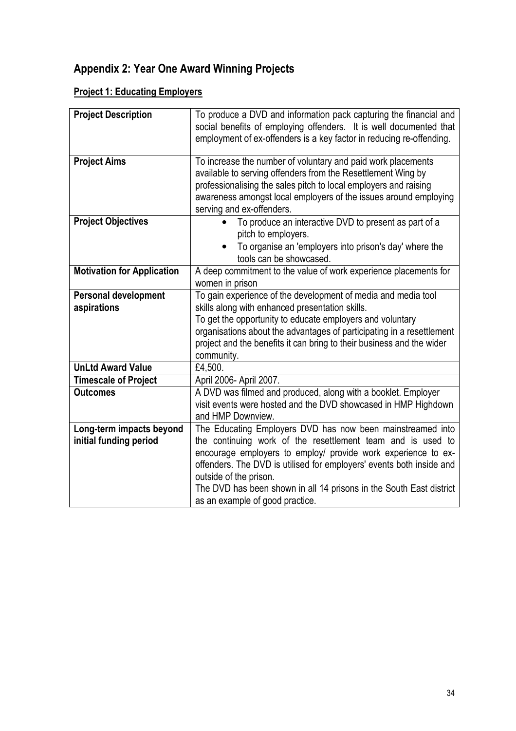## Appendix 2: Year One Award Winning Projects

## **Project 1: Educating Employers**

| <b>Project Description</b>        | To produce a DVD and information pack capturing the financial and<br>social benefits of employing offenders. It is well documented that<br>employment of ex-offenders is a key factor in reducing re-offending.                                                                                   |
|-----------------------------------|---------------------------------------------------------------------------------------------------------------------------------------------------------------------------------------------------------------------------------------------------------------------------------------------------|
|                                   |                                                                                                                                                                                                                                                                                                   |
| <b>Project Aims</b>               | To increase the number of voluntary and paid work placements<br>available to serving offenders from the Resettlement Wing by<br>professionalising the sales pitch to local employers and raising<br>awareness amongst local employers of the issues around employing<br>serving and ex-offenders. |
| <b>Project Objectives</b>         | To produce an interactive DVD to present as part of a<br>pitch to employers.<br>To organise an 'employers into prison's day' where the                                                                                                                                                            |
|                                   | tools can be showcased.                                                                                                                                                                                                                                                                           |
| <b>Motivation for Application</b> | A deep commitment to the value of work experience placements for<br>women in prison                                                                                                                                                                                                               |
| <b>Personal development</b>       | To gain experience of the development of media and media tool                                                                                                                                                                                                                                     |
| aspirations                       | skills along with enhanced presentation skills.                                                                                                                                                                                                                                                   |
|                                   | To get the opportunity to educate employers and voluntary                                                                                                                                                                                                                                         |
|                                   | organisations about the advantages of participating in a resettlement                                                                                                                                                                                                                             |
|                                   | project and the benefits it can bring to their business and the wider                                                                                                                                                                                                                             |
|                                   | community.                                                                                                                                                                                                                                                                                        |
| <b>UnLtd Award Value</b>          | £4,500.                                                                                                                                                                                                                                                                                           |
| <b>Timescale of Project</b>       | April 2006- April 2007.                                                                                                                                                                                                                                                                           |
| <b>Outcomes</b>                   | A DVD was filmed and produced, along with a booklet. Employer                                                                                                                                                                                                                                     |
|                                   | visit events were hosted and the DVD showcased in HMP Highdown                                                                                                                                                                                                                                    |
|                                   | and HMP Downview.                                                                                                                                                                                                                                                                                 |
| Long-term impacts beyond          | The Educating Employers DVD has now been mainstreamed into                                                                                                                                                                                                                                        |
| initial funding period            | the continuing work of the resettlement team and is used to                                                                                                                                                                                                                                       |
|                                   | encourage employers to employ/ provide work experience to ex-                                                                                                                                                                                                                                     |
|                                   | offenders. The DVD is utilised for employers' events both inside and                                                                                                                                                                                                                              |
|                                   | outside of the prison.                                                                                                                                                                                                                                                                            |
|                                   | The DVD has been shown in all 14 prisons in the South East district                                                                                                                                                                                                                               |
|                                   | as an example of good practice.                                                                                                                                                                                                                                                                   |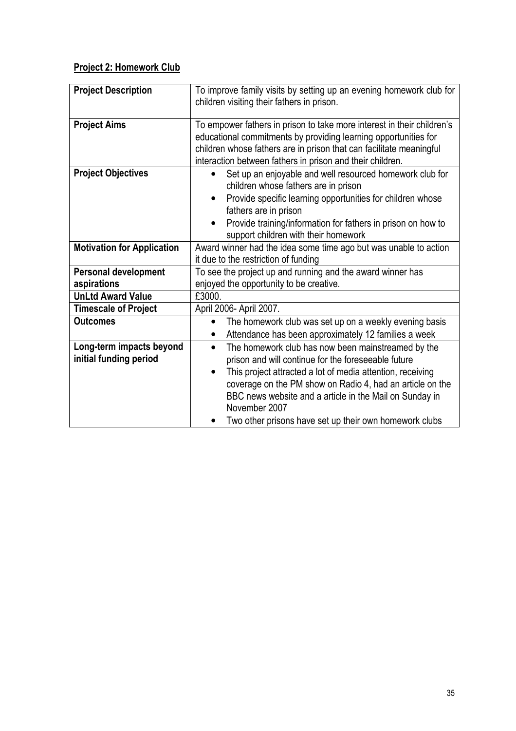## Project 2: Homework Club

| <b>Project Description</b>                         | To improve family visits by setting up an evening homework club for<br>children visiting their fathers in prison.                                                                                                                                                                                                                                                                                    |
|----------------------------------------------------|------------------------------------------------------------------------------------------------------------------------------------------------------------------------------------------------------------------------------------------------------------------------------------------------------------------------------------------------------------------------------------------------------|
| <b>Project Aims</b>                                | To empower fathers in prison to take more interest in their children's<br>educational commitments by providing learning opportunities for<br>children whose fathers are in prison that can facilitate meaningful<br>interaction between fathers in prison and their children.                                                                                                                        |
| <b>Project Objectives</b>                          | Set up an enjoyable and well resourced homework club for<br>children whose fathers are in prison<br>Provide specific learning opportunities for children whose<br>$\bullet$<br>fathers are in prison<br>Provide training/information for fathers in prison on how to<br>$\bullet$<br>support children with their homework                                                                            |
| <b>Motivation for Application</b>                  | Award winner had the idea some time ago but was unable to action<br>it due to the restriction of funding                                                                                                                                                                                                                                                                                             |
| <b>Personal development</b><br>aspirations         | To see the project up and running and the award winner has<br>enjoyed the opportunity to be creative.                                                                                                                                                                                                                                                                                                |
| <b>UnLtd Award Value</b>                           | £3000.                                                                                                                                                                                                                                                                                                                                                                                               |
| <b>Timescale of Project</b>                        | April 2006- April 2007.                                                                                                                                                                                                                                                                                                                                                                              |
| <b>Outcomes</b>                                    | The homework club was set up on a weekly evening basis<br>Attendance has been approximately 12 families a week                                                                                                                                                                                                                                                                                       |
| Long-term impacts beyond<br>initial funding period | The homework club has now been mainstreamed by the<br>$\bullet$<br>prison and will continue for the foreseeable future<br>This project attracted a lot of media attention, receiving<br>$\bullet$<br>coverage on the PM show on Radio 4, had an article on the<br>BBC news website and a article in the Mail on Sunday in<br>November 2007<br>Two other prisons have set up their own homework clubs |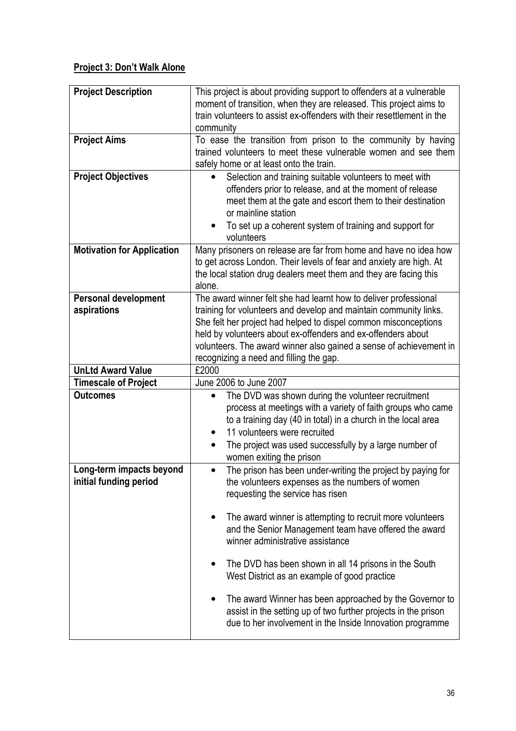## Project 3: Don't Walk Alone

| <b>Project Description</b><br><b>Project Aims</b>  | This project is about providing support to offenders at a vulnerable<br>moment of transition, when they are released. This project aims to<br>train volunteers to assist ex-offenders with their resettlement in the<br>community<br>To ease the transition from prison to the community by having                                                                                                                                                                                                                                                 |
|----------------------------------------------------|----------------------------------------------------------------------------------------------------------------------------------------------------------------------------------------------------------------------------------------------------------------------------------------------------------------------------------------------------------------------------------------------------------------------------------------------------------------------------------------------------------------------------------------------------|
|                                                    | trained volunteers to meet these vulnerable women and see them<br>safely home or at least onto the train.                                                                                                                                                                                                                                                                                                                                                                                                                                          |
| <b>Project Objectives</b>                          | Selection and training suitable volunteers to meet with<br>offenders prior to release, and at the moment of release<br>meet them at the gate and escort them to their destination<br>or mainline station<br>To set up a coherent system of training and support for<br>volunteers                                                                                                                                                                                                                                                                  |
| <b>Motivation for Application</b>                  | Many prisoners on release are far from home and have no idea how<br>to get across London. Their levels of fear and anxiety are high. At<br>the local station drug dealers meet them and they are facing this<br>alone.                                                                                                                                                                                                                                                                                                                             |
| <b>Personal development</b><br>aspirations         | The award winner felt she had learnt how to deliver professional<br>training for volunteers and develop and maintain community links.<br>She felt her project had helped to dispel common misconceptions<br>held by volunteers about ex-offenders and ex-offenders about<br>volunteers. The award winner also gained a sense of achievement in<br>recognizing a need and filling the gap.                                                                                                                                                          |
| <b>UnLtd Award Value</b>                           | £2000                                                                                                                                                                                                                                                                                                                                                                                                                                                                                                                                              |
| <b>Timescale of Project</b>                        | June 2006 to June 2007                                                                                                                                                                                                                                                                                                                                                                                                                                                                                                                             |
| <b>Outcomes</b>                                    | The DVD was shown during the volunteer recruitment<br>process at meetings with a variety of faith groups who came<br>to a training day (40 in total) in a church in the local area<br>11 volunteers were recruited<br>The project was used successfully by a large number of<br>women exiting the prison                                                                                                                                                                                                                                           |
| Long-term impacts beyond<br>initial funding period | The prison has been under-writing the project by paying for<br>the volunteers expenses as the numbers of women<br>requesting the service has risen<br>The award winner is attempting to recruit more volunteers<br>and the Senior Management team have offered the award<br>winner administrative assistance<br>The DVD has been shown in all 14 prisons in the South<br>West District as an example of good practice<br>The award Winner has been approached by the Governor to<br>assist in the setting up of two further projects in the prison |
|                                                    | due to her involvement in the Inside Innovation programme                                                                                                                                                                                                                                                                                                                                                                                                                                                                                          |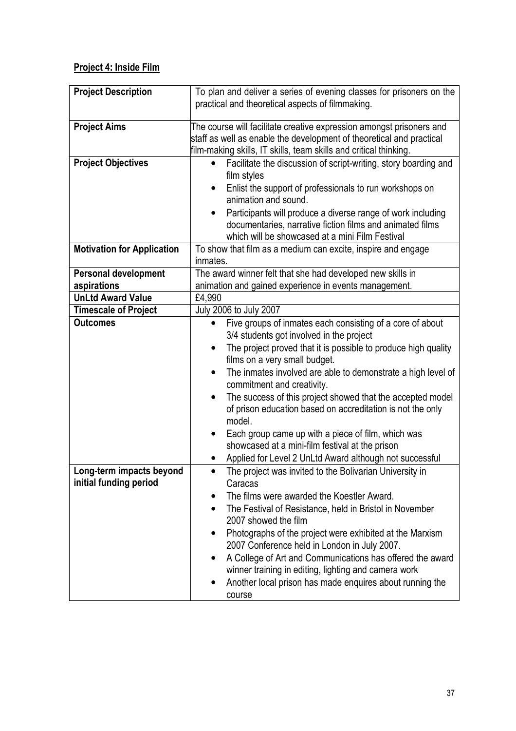## Project 4: Inside Film

| <b>Project Description</b>        | To plan and deliver a series of evening classes for prisoners on the<br>practical and theoretical aspects of filmmaking.                     |
|-----------------------------------|----------------------------------------------------------------------------------------------------------------------------------------------|
|                                   |                                                                                                                                              |
| <b>Project Aims</b>               | The course will facilitate creative expression amongst prisoners and<br>staff as well as enable the development of theoretical and practical |
|                                   | film-making skills, IT skills, team skills and critical thinking.                                                                            |
| <b>Project Objectives</b>         | Facilitate the discussion of script-writing, story boarding and                                                                              |
|                                   | film styles                                                                                                                                  |
|                                   | Enlist the support of professionals to run workshops on<br>animation and sound.                                                              |
|                                   | Participants will produce a diverse range of work including                                                                                  |
|                                   | documentaries, narrative fiction films and animated films                                                                                    |
|                                   | which will be showcased at a mini Film Festival                                                                                              |
| <b>Motivation for Application</b> | To show that film as a medium can excite, inspire and engage                                                                                 |
|                                   | inmates.                                                                                                                                     |
| <b>Personal development</b>       | The award winner felt that she had developed new skills in                                                                                   |
| aspirations                       | animation and gained experience in events management.                                                                                        |
| <b>UnLtd Award Value</b>          | £4,990                                                                                                                                       |
| <b>Timescale of Project</b>       | July 2006 to July 2007                                                                                                                       |
| <b>Outcomes</b>                   | Five groups of inmates each consisting of a core of about<br>$\bullet$<br>3/4 students got involved in the project                           |
|                                   | The project proved that it is possible to produce high quality<br>films on a very small budget.                                              |
|                                   | The inmates involved are able to demonstrate a high level of<br>$\bullet$<br>commitment and creativity.                                      |
|                                   | The success of this project showed that the accepted model<br>of prison education based on accreditation is not the only<br>model.           |
|                                   | Each group came up with a piece of film, which was<br>showcased at a mini-film festival at the prison                                        |
|                                   | Applied for Level 2 UnLtd Award although not successful                                                                                      |
| Long-term impacts beyond          | The project was invited to the Bolivarian University in                                                                                      |
| initial funding period            | Caracas                                                                                                                                      |
|                                   | The films were awarded the Koestler Award.                                                                                                   |
|                                   | The Festival of Resistance, held in Bristol in November<br>2007 showed the film                                                              |
|                                   | Photographs of the project were exhibited at the Marxism<br>2007 Conference held in London in July 2007.                                     |
|                                   | A College of Art and Communications has offered the award                                                                                    |
|                                   | winner training in editing, lighting and camera work                                                                                         |
|                                   | Another local prison has made enquires about running the                                                                                     |
|                                   | course                                                                                                                                       |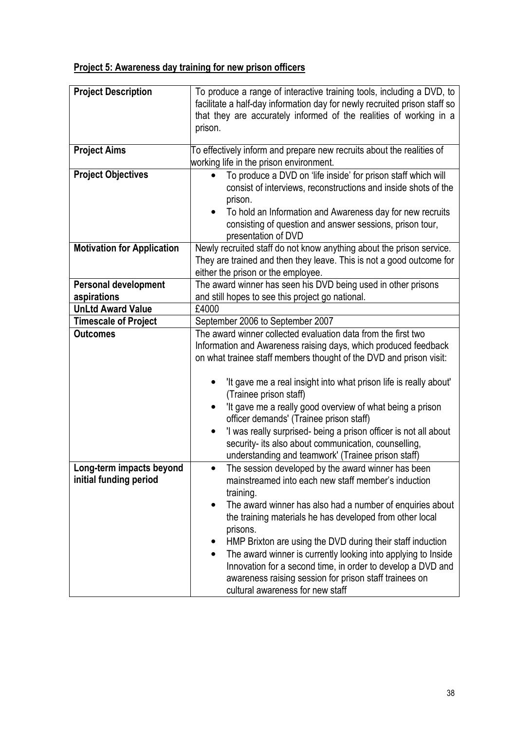## Project 5: Awareness day training for new prison officers

| <b>Project Description</b>                         | To produce a range of interactive training tools, including a DVD, to<br>facilitate a half-day information day for newly recruited prison staff so<br>that they are accurately informed of the realities of working in a<br>prison.                                                                                                                                                                                                                                                                                                                                  |
|----------------------------------------------------|----------------------------------------------------------------------------------------------------------------------------------------------------------------------------------------------------------------------------------------------------------------------------------------------------------------------------------------------------------------------------------------------------------------------------------------------------------------------------------------------------------------------------------------------------------------------|
| <b>Project Aims</b>                                | To effectively inform and prepare new recruits about the realities of<br>working life in the prison environment.                                                                                                                                                                                                                                                                                                                                                                                                                                                     |
| <b>Project Objectives</b>                          | To produce a DVD on 'life inside' for prison staff which will<br>$\bullet$<br>consist of interviews, reconstructions and inside shots of the<br>prison.<br>To hold an Information and Awareness day for new recruits<br>consisting of question and answer sessions, prison tour,<br>presentation of DVD                                                                                                                                                                                                                                                              |
| <b>Motivation for Application</b>                  | Newly recruited staff do not know anything about the prison service.<br>They are trained and then they leave. This is not a good outcome for<br>either the prison or the employee.                                                                                                                                                                                                                                                                                                                                                                                   |
| <b>Personal development</b>                        | The award winner has seen his DVD being used in other prisons                                                                                                                                                                                                                                                                                                                                                                                                                                                                                                        |
| aspirations                                        | and still hopes to see this project go national.                                                                                                                                                                                                                                                                                                                                                                                                                                                                                                                     |
| <b>UnLtd Award Value</b>                           | £4000                                                                                                                                                                                                                                                                                                                                                                                                                                                                                                                                                                |
| <b>Timescale of Project</b>                        | September 2006 to September 2007                                                                                                                                                                                                                                                                                                                                                                                                                                                                                                                                     |
| <b>Outcomes</b>                                    | The award winner collected evaluation data from the first two<br>Information and Awareness raising days, which produced feedback<br>on what trainee staff members thought of the DVD and prison visit:<br>'It gave me a real insight into what prison life is really about'<br>(Trainee prison staff)<br>'It gave me a really good overview of what being a prison                                                                                                                                                                                                   |
|                                                    | officer demands' (Trainee prison staff)<br>'I was really surprised- being a prison officer is not all about<br>security- its also about communication, counselling,<br>understanding and teamwork' (Trainee prison staff)                                                                                                                                                                                                                                                                                                                                            |
| Long-term impacts beyond<br>initial funding period | The session developed by the award winner has been<br>mainstreamed into each new staff member's induction<br>training.<br>The award winner has also had a number of enquiries about<br>the training materials he has developed from other local<br>prisons.<br>HMP Brixton are using the DVD during their staff induction<br>The award winner is currently looking into applying to Inside<br>$\bullet$<br>Innovation for a second time, in order to develop a DVD and<br>awareness raising session for prison staff trainees on<br>cultural awareness for new staff |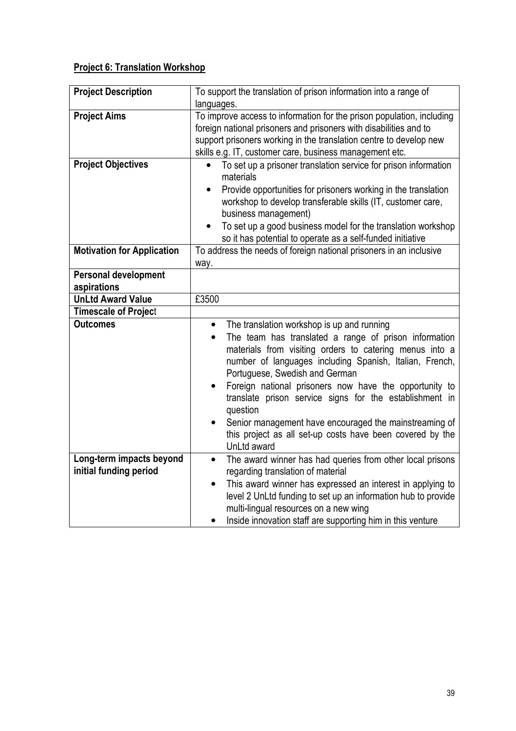## Project 6: Translation Workshop

| <b>Project Description</b>        | To support the translation of prison information into a range of                          |
|-----------------------------------|-------------------------------------------------------------------------------------------|
|                                   | languages.                                                                                |
| <b>Project Aims</b>               | To improve access to information for the prison population, including                     |
|                                   | foreign national prisoners and prisoners with disabilities and to                         |
|                                   | support prisoners working in the translation centre to develop new                        |
|                                   | skills e.g. IT, customer care, business management etc.                                   |
| <b>Project Objectives</b>         | To set up a prisoner translation service for prison information<br>materials              |
|                                   | Provide opportunities for prisoners working in the translation<br>$\bullet$               |
|                                   | workshop to develop transferable skills (IT, customer care,<br>business management)       |
|                                   | To set up a good business model for the translation workshop                              |
|                                   | so it has potential to operate as a self-funded initiative                                |
| <b>Motivation for Application</b> | To address the needs of foreign national prisoners in an inclusive                        |
|                                   | way.                                                                                      |
| <b>Personal development</b>       |                                                                                           |
| aspirations                       |                                                                                           |
| <b>UnLtd Award Value</b>          | £3500                                                                                     |
| <b>Timescale of Project</b>       |                                                                                           |
| <b>Outcomes</b>                   | The translation workshop is up and running<br>$\bullet$                                   |
|                                   |                                                                                           |
|                                   | The team has translated a range of prison information<br>$\bullet$                        |
|                                   | materials from visiting orders to catering menus into a                                   |
|                                   |                                                                                           |
|                                   | number of languages including Spanish, Italian, French,<br>Portuguese, Swedish and German |
|                                   | Foreign national prisoners now have the opportunity to<br>$\bullet$                       |
|                                   | translate prison service signs for the establishment in                                   |
|                                   | question                                                                                  |
|                                   | Senior management have encouraged the mainstreaming of                                    |
|                                   | this project as all set-up costs have been covered by the                                 |
|                                   | UnLtd award                                                                               |
| Long-term impacts beyond          | The award winner has had queries from other local prisons<br>$\bullet$                    |
| initial funding period            | regarding translation of material                                                         |
|                                   | This award winner has expressed an interest in applying to<br>$\bullet$                   |
|                                   | level 2 UnLtd funding to set up an information hub to provide                             |
|                                   | multi-lingual resources on a new wing                                                     |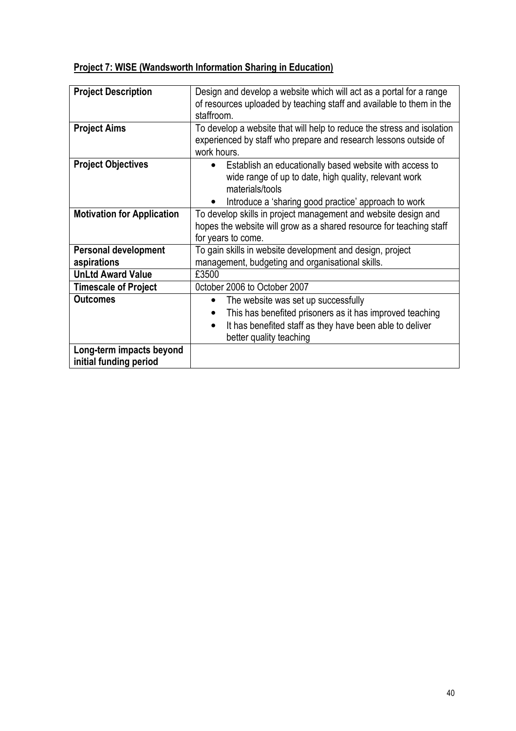## Project 7: WISE (Wandsworth Information Sharing in Education)

| <b>Project Description</b>                         | Design and develop a website which will act as a portal for a range<br>of resources uploaded by teaching staff and available to them in the<br>staffroom.                                                             |
|----------------------------------------------------|-----------------------------------------------------------------------------------------------------------------------------------------------------------------------------------------------------------------------|
| <b>Project Aims</b>                                | To develop a website that will help to reduce the stress and isolation<br>experienced by staff who prepare and research lessons outside of<br>work hours.                                                             |
| <b>Project Objectives</b>                          | Establish an educationally based website with access to<br>$\bullet$<br>wide range of up to date, high quality, relevant work<br>materials/tools<br>Introduce a 'sharing good practice' approach to work              |
| <b>Motivation for Application</b>                  | To develop skills in project management and website design and<br>hopes the website will grow as a shared resource for teaching staff<br>for years to come.                                                           |
| <b>Personal development</b><br>aspirations         | To gain skills in website development and design, project<br>management, budgeting and organisational skills.                                                                                                         |
| <b>UnLtd Award Value</b>                           | £3500                                                                                                                                                                                                                 |
| <b>Timescale of Project</b>                        | October 2006 to October 2007                                                                                                                                                                                          |
| <b>Outcomes</b>                                    | The website was set up successfully<br>$\bullet$<br>This has benefited prisoners as it has improved teaching<br>٠<br>It has benefited staff as they have been able to deliver<br>$\bullet$<br>better quality teaching |
| Long-term impacts beyond<br>initial funding period |                                                                                                                                                                                                                       |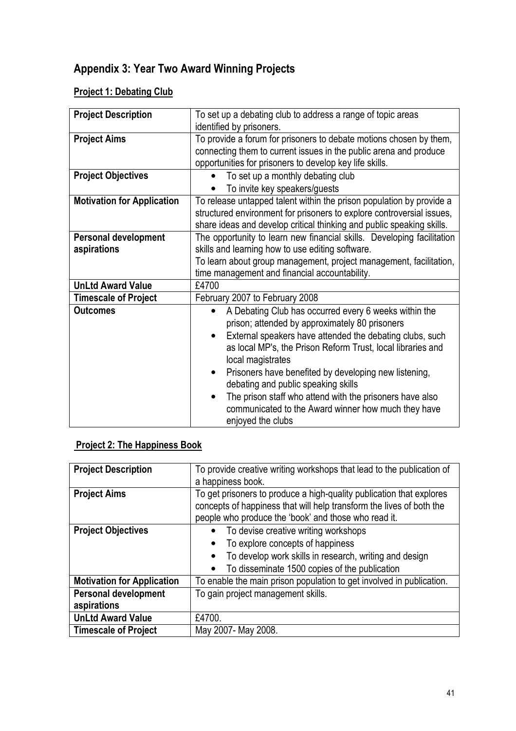## Appendix 3: Year Two Award Winning Projects

## **Project 1: Debating Club**

| <b>Project Description</b>        | To set up a debating club to address a range of topic areas            |
|-----------------------------------|------------------------------------------------------------------------|
|                                   | identified by prisoners.                                               |
| <b>Project Aims</b>               | To provide a forum for prisoners to debate motions chosen by them,     |
|                                   | connecting them to current issues in the public arena and produce      |
|                                   | opportunities for prisoners to develop key life skills.                |
| <b>Project Objectives</b>         | To set up a monthly debating club                                      |
|                                   | To invite key speakers/guests                                          |
| <b>Motivation for Application</b> | To release untapped talent within the prison population by provide a   |
|                                   | structured environment for prisoners to explore controversial issues,  |
|                                   | share ideas and develop critical thinking and public speaking skills.  |
| <b>Personal development</b>       | The opportunity to learn new financial skills. Developing facilitation |
| aspirations                       | skills and learning how to use editing software.                       |
|                                   | To learn about group management, project management, facilitation,     |
|                                   | time management and financial accountability.                          |
| <b>UnLtd Award Value</b>          | £4700                                                                  |
| <b>Timescale of Project</b>       | February 2007 to February 2008                                         |
| <b>Outcomes</b>                   | A Debating Club has occurred every 6 weeks within the                  |
|                                   | prison; attended by approximately 80 prisoners                         |
|                                   | External speakers have attended the debating clubs, such<br>$\bullet$  |
|                                   | as local MP's, the Prison Reform Trust, local libraries and            |
|                                   | local magistrates                                                      |
|                                   | Prisoners have benefited by developing new listening,<br>$\bullet$     |
|                                   | debating and public speaking skills                                    |
|                                   | The prison staff who attend with the prisoners have also               |
|                                   | communicated to the Award winner how much they have                    |
|                                   | enjoyed the clubs                                                      |

## Project 2: The Happiness Book

| <b>Project Description</b>        | To provide creative writing workshops that lead to the publication of<br>a happiness book.                                                                                                           |
|-----------------------------------|------------------------------------------------------------------------------------------------------------------------------------------------------------------------------------------------------|
| <b>Project Aims</b>               | To get prisoners to produce a high-quality publication that explores<br>concepts of happiness that will help transform the lives of both the<br>people who produce the 'book' and those who read it. |
| <b>Project Objectives</b>         | To devise creative writing workshops<br>To explore concepts of happiness<br>$\bullet$<br>To develop work skills in research, writing and design<br>$\bullet$                                         |
|                                   | To disseminate 1500 copies of the publication<br>$\bullet$                                                                                                                                           |
| <b>Motivation for Application</b> | To enable the main prison population to get involved in publication.                                                                                                                                 |
| <b>Personal development</b>       | To gain project management skills.                                                                                                                                                                   |
| aspirations                       |                                                                                                                                                                                                      |
| <b>UnLtd Award Value</b>          | £4700.                                                                                                                                                                                               |
| <b>Timescale of Project</b>       | May 2007- May 2008.                                                                                                                                                                                  |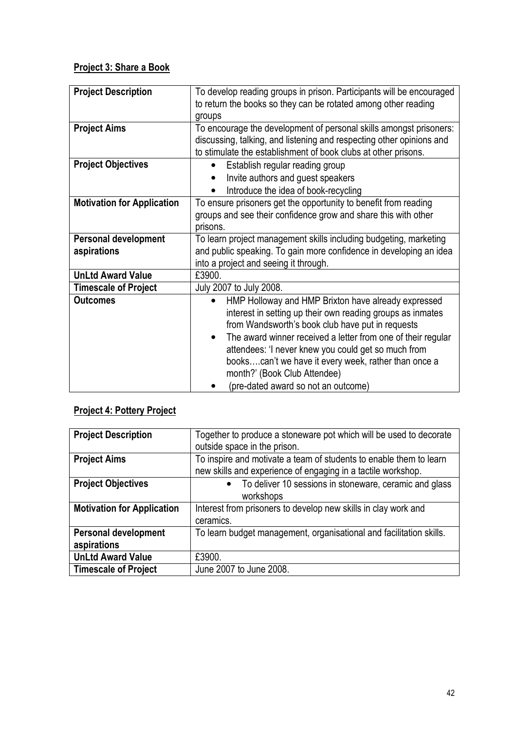## Project 3: Share a Book

| <b>Project Description</b>        | To develop reading groups in prison. Participants will be encouraged      |
|-----------------------------------|---------------------------------------------------------------------------|
|                                   | to return the books so they can be rotated among other reading            |
|                                   | groups                                                                    |
| <b>Project Aims</b>               | To encourage the development of personal skills amongst prisoners:        |
|                                   | discussing, talking, and listening and respecting other opinions and      |
|                                   | to stimulate the establishment of book clubs at other prisons.            |
| <b>Project Objectives</b>         | Establish regular reading group                                           |
|                                   | Invite authors and guest speakers                                         |
|                                   | Introduce the idea of book-recycling                                      |
| <b>Motivation for Application</b> | To ensure prisoners get the opportunity to benefit from reading           |
|                                   | groups and see their confidence grow and share this with other            |
|                                   | prisons.                                                                  |
| <b>Personal development</b>       | To learn project management skills including budgeting, marketing         |
| aspirations                       | and public speaking. To gain more confidence in developing an idea        |
|                                   | into a project and seeing it through.                                     |
| <b>UnLtd Award Value</b>          | £3900.                                                                    |
| <b>Timescale of Project</b>       | July 2007 to July 2008.                                                   |
| <b>Outcomes</b>                   | HMP Holloway and HMP Brixton have already expressed                       |
|                                   | interest in setting up their own reading groups as inmates                |
|                                   | from Wandsworth's book club have put in requests                          |
|                                   | The award winner received a letter from one of their regular<br>$\bullet$ |
|                                   | attendees: 'I never knew you could get so much from                       |
|                                   | bookscan't we have it every week, rather than once a                      |
|                                   | month?' (Book Club Attendee)                                              |
|                                   | (pre-dated award so not an outcome)                                       |

## Project 4: Pottery Project

| <b>Project Description</b>                 | Together to produce a stoneware pot which will be used to decorate<br>outside space in the prison.                                 |
|--------------------------------------------|------------------------------------------------------------------------------------------------------------------------------------|
| <b>Project Aims</b>                        | To inspire and motivate a team of students to enable them to learn<br>new skills and experience of engaging in a tactile workshop. |
| <b>Project Objectives</b>                  | To deliver 10 sessions in stoneware, ceramic and glass<br>$\bullet$<br>workshops                                                   |
| <b>Motivation for Application</b>          | Interest from prisoners to develop new skills in clay work and<br>ceramics.                                                        |
| <b>Personal development</b><br>aspirations | To learn budget management, organisational and facilitation skills.                                                                |
| <b>UnLtd Award Value</b>                   | £3900.                                                                                                                             |
| <b>Timescale of Project</b>                | June 2007 to June 2008.                                                                                                            |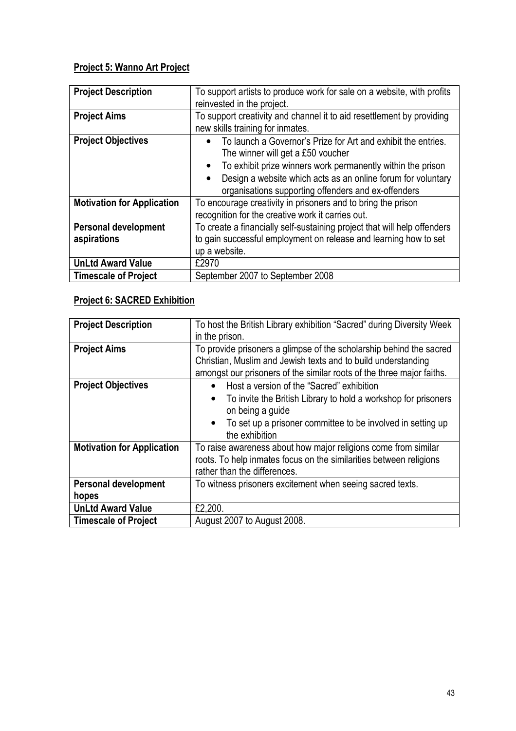## Project 5: Wanno Art Project

| <b>Project Description</b>                 | To support artists to produce work for sale on a website, with profits<br>reinvested in the project.                                                                                                                                                                                                  |
|--------------------------------------------|-------------------------------------------------------------------------------------------------------------------------------------------------------------------------------------------------------------------------------------------------------------------------------------------------------|
| <b>Project Aims</b>                        | To support creativity and channel it to aid resettlement by providing<br>new skills training for inmates.                                                                                                                                                                                             |
| <b>Project Objectives</b>                  | To launch a Governor's Prize for Art and exhibit the entries.<br>The winner will get a £50 voucher<br>To exhibit prize winners work permanently within the prison<br>$\bullet$<br>Design a website which acts as an online forum for voluntary<br>organisations supporting offenders and ex-offenders |
| <b>Motivation for Application</b>          | To encourage creativity in prisoners and to bring the prison<br>recognition for the creative work it carries out.                                                                                                                                                                                     |
| <b>Personal development</b><br>aspirations | To create a financially self-sustaining project that will help offenders<br>to gain successful employment on release and learning how to set<br>up a website.                                                                                                                                         |
| <b>UnLtd Award Value</b>                   | £2970                                                                                                                                                                                                                                                                                                 |
| <b>Timescale of Project</b>                | September 2007 to September 2008                                                                                                                                                                                                                                                                      |

## Project 6: SACRED Exhibition

| <b>Project Description</b>           | To host the British Library exhibition "Sacred" during Diversity Week<br>in the prison.                                                                                                                                                                 |
|--------------------------------------|---------------------------------------------------------------------------------------------------------------------------------------------------------------------------------------------------------------------------------------------------------|
| <b>Project Aims</b>                  | To provide prisoners a glimpse of the scholarship behind the sacred<br>Christian, Muslim and Jewish texts and to build understanding<br>amongst our prisoners of the similar roots of the three major faiths.                                           |
| <b>Project Objectives</b>            | Host a version of the "Sacred" exhibition<br>$\bullet$<br>To invite the British Library to hold a workshop for prisoners<br>$\bullet$<br>on being a guide<br>To set up a prisoner committee to be involved in setting up<br>$\bullet$<br>the exhibition |
| <b>Motivation for Application</b>    | To raise awareness about how major religions come from similar<br>roots. To help inmates focus on the similarities between religions<br>rather than the differences.                                                                                    |
| <b>Personal development</b><br>hopes | To witness prisoners excitement when seeing sacred texts.                                                                                                                                                                                               |
| <b>UnLtd Award Value</b>             | £2,200.                                                                                                                                                                                                                                                 |
| <b>Timescale of Project</b>          | August 2007 to August 2008.                                                                                                                                                                                                                             |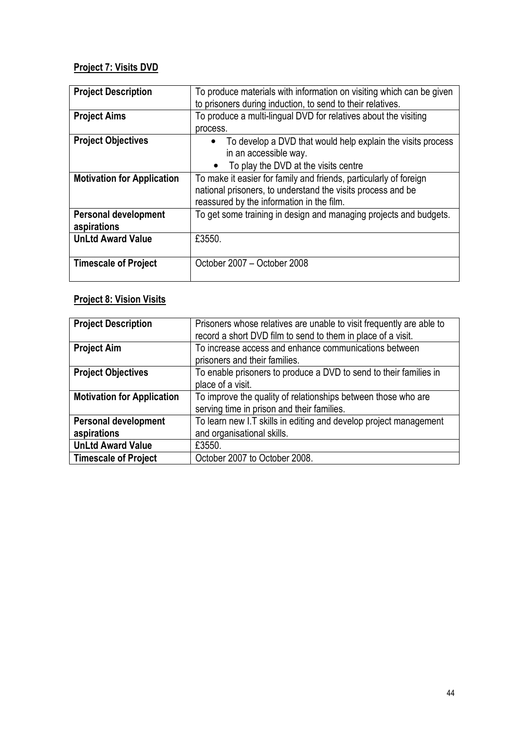## Project 7: Visits DVD

| <b>Project Description</b>        | To produce materials with information on visiting which can be given     |
|-----------------------------------|--------------------------------------------------------------------------|
|                                   | to prisoners during induction, to send to their relatives.               |
| <b>Project Aims</b>               | To produce a multi-lingual DVD for relatives about the visiting          |
|                                   | process.                                                                 |
| <b>Project Objectives</b>         | To develop a DVD that would help explain the visits process<br>$\bullet$ |
|                                   | in an accessible way.                                                    |
|                                   | To play the DVD at the visits centre                                     |
| <b>Motivation for Application</b> | To make it easier for family and friends, particularly of foreign        |
|                                   | national prisoners, to understand the visits process and be              |
|                                   | reassured by the information in the film.                                |
| <b>Personal development</b>       | To get some training in design and managing projects and budgets.        |
| aspirations                       |                                                                          |
| <b>UnLtd Award Value</b>          | £3550.                                                                   |
|                                   |                                                                          |
| <b>Timescale of Project</b>       | October 2007 - October 2008                                              |
|                                   |                                                                          |

## **Project 8: Vision Visits**

| <b>Project Description</b>                 | Prisoners whose relatives are unable to visit frequently are able to<br>record a short DVD film to send to them in place of a visit. |
|--------------------------------------------|--------------------------------------------------------------------------------------------------------------------------------------|
| <b>Project Aim</b>                         | To increase access and enhance communications between<br>prisoners and their families.                                               |
| <b>Project Objectives</b>                  | To enable prisoners to produce a DVD to send to their families in<br>place of a visit.                                               |
| <b>Motivation for Application</b>          | To improve the quality of relationships between those who are<br>serving time in prison and their families.                          |
| <b>Personal development</b><br>aspirations | To learn new I.T skills in editing and develop project management<br>and organisational skills.                                      |
| <b>UnLtd Award Value</b>                   | £3550.                                                                                                                               |
| <b>Timescale of Project</b>                | October 2007 to October 2008.                                                                                                        |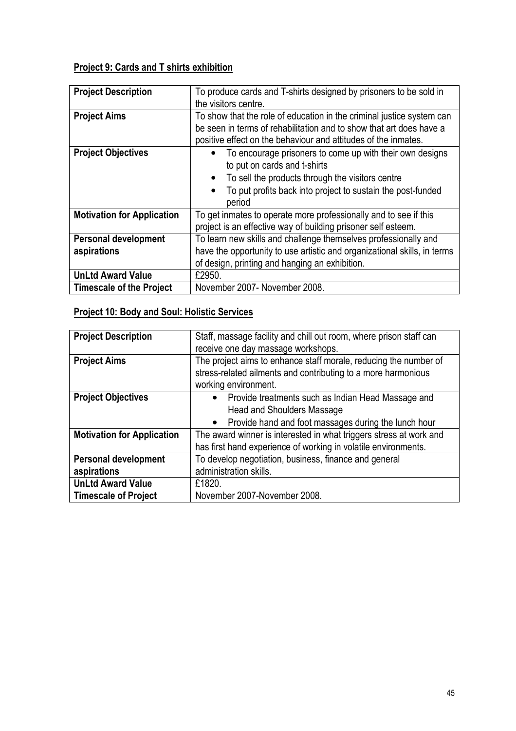## Project 9: Cards and T shirts exhibition

| <b>Project Description</b>        | To produce cards and T-shirts designed by prisoners to be sold in                                                                     |
|-----------------------------------|---------------------------------------------------------------------------------------------------------------------------------------|
|                                   | the visitors centre.                                                                                                                  |
| <b>Project Aims</b>               | To show that the role of education in the criminal justice system can                                                                 |
|                                   | be seen in terms of rehabilitation and to show that art does have a<br>positive effect on the behaviour and attitudes of the inmates. |
| <b>Project Objectives</b>         | To encourage prisoners to come up with their own designs<br>to put on cards and t-shirts                                              |
|                                   | To sell the products through the visitors centre                                                                                      |
|                                   | To put profits back into project to sustain the post-funded<br>$\bullet$<br>period                                                    |
| <b>Motivation for Application</b> | To get inmates to operate more professionally and to see if this<br>project is an effective way of building prisoner self esteem.     |
| <b>Personal development</b>       | To learn new skills and challenge themselves professionally and                                                                       |
| aspirations                       | have the opportunity to use artistic and organizational skills, in terms                                                              |
|                                   | of design, printing and hanging an exhibition.                                                                                        |
| <b>UnLtd Award Value</b>          | £2950.                                                                                                                                |
| <b>Timescale of the Project</b>   | November 2007- November 2008.                                                                                                         |

## Project 10: Body and Soul: Holistic Services

| <b>Project Description</b>                 | Staff, massage facility and chill out room, where prison staff can<br>receive one day massage workshops.                                                       |
|--------------------------------------------|----------------------------------------------------------------------------------------------------------------------------------------------------------------|
| <b>Project Aims</b>                        | The project aims to enhance staff morale, reducing the number of<br>stress-related ailments and contributing to a more harmonious<br>working environment.      |
| <b>Project Objectives</b>                  | • Provide treatments such as Indian Head Massage and<br><b>Head and Shoulders Massage</b><br>Provide hand and foot massages during the lunch hour<br>$\bullet$ |
| <b>Motivation for Application</b>          | The award winner is interested in what triggers stress at work and<br>has first hand experience of working in volatile environments.                           |
| <b>Personal development</b><br>aspirations | To develop negotiation, business, finance and general<br>administration skills.                                                                                |
| <b>UnLtd Award Value</b>                   | £1820.                                                                                                                                                         |
| <b>Timescale of Project</b>                | November 2007-November 2008.                                                                                                                                   |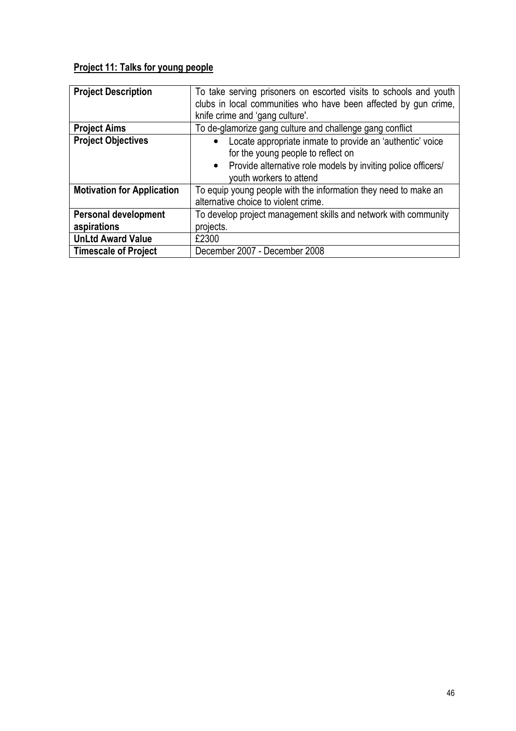## Project 11: Talks for young people

| <b>Project Description</b>        | To take serving prisoners on escorted visits to schools and youth<br>clubs in local communities who have been affected by gun crime, |  |  |  |  |  |  |  |  |  |  |
|-----------------------------------|--------------------------------------------------------------------------------------------------------------------------------------|--|--|--|--|--|--|--|--|--|--|
|                                   |                                                                                                                                      |  |  |  |  |  |  |  |  |  |  |
|                                   | knife crime and 'gang culture'.                                                                                                      |  |  |  |  |  |  |  |  |  |  |
| <b>Project Aims</b>               | To de-glamorize gang culture and challenge gang conflict                                                                             |  |  |  |  |  |  |  |  |  |  |
| <b>Project Objectives</b>         | Locate appropriate inmate to provide an 'authentic' voice                                                                            |  |  |  |  |  |  |  |  |  |  |
|                                   | for the young people to reflect on                                                                                                   |  |  |  |  |  |  |  |  |  |  |
|                                   | Provide alternative role models by inviting police officers/<br>$\bullet$                                                            |  |  |  |  |  |  |  |  |  |  |
|                                   | youth workers to attend                                                                                                              |  |  |  |  |  |  |  |  |  |  |
| <b>Motivation for Application</b> | To equip young people with the information they need to make an                                                                      |  |  |  |  |  |  |  |  |  |  |
|                                   | alternative choice to violent crime.                                                                                                 |  |  |  |  |  |  |  |  |  |  |
| <b>Personal development</b>       | To develop project management skills and network with community                                                                      |  |  |  |  |  |  |  |  |  |  |
| aspirations                       | projects.                                                                                                                            |  |  |  |  |  |  |  |  |  |  |
| <b>UnLtd Award Value</b>          | £2300                                                                                                                                |  |  |  |  |  |  |  |  |  |  |
| <b>Timescale of Project</b>       | December 2007 - December 2008                                                                                                        |  |  |  |  |  |  |  |  |  |  |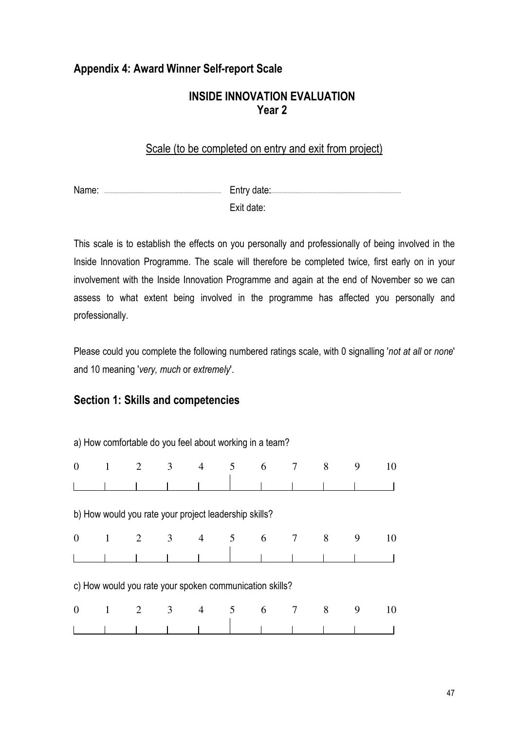## Appendix 4: Award Winner Self-report Scale

## INSIDE INNOVATION EVALUATION Year 2

## Scale (to be completed on entry and exit from project)

Name: Entry date: Exit date:

This scale is to establish the effects on you personally and professionally of being involved in the Inside Innovation Programme. The scale will therefore be completed twice, first early on in your involvement with the Inside Innovation Programme and again at the end of November so we can assess to what extent being involved in the programme has affected you personally and professionally.

Please could you complete the following numbered ratings scale, with 0 signalling 'not at all or none' and 10 meaning 'very, much or extremely'.

## Section 1: Skills and competencies

a) How comfortable do you feel about working in a team?

| $\overline{0}$ | $\overline{1}$                                          | 2                   | $\overline{\mathbf{3}}$ | $\overline{4}$ | 5           | 6 | 7               | 8              | 9 | 10 |  |
|----------------|---------------------------------------------------------|---------------------|-------------------------|----------------|-------------|---|-----------------|----------------|---|----|--|
|                |                                                         |                     |                         |                |             |   |                 |                |   |    |  |
|                | b) How would you rate your project leadership skills?   |                     |                         |                |             |   |                 |                |   |    |  |
| $\theta$       | $\mathbf{1}$                                            | $2 \qquad \qquad 3$ |                         |                | $4\qquad 5$ | 6 | $\overline{7}$  | 8 <sup>8</sup> | 9 | 10 |  |
|                |                                                         |                     |                         |                |             |   |                 |                |   |    |  |
|                | c) How would you rate your spoken communication skills? |                     |                         |                |             |   |                 |                |   |    |  |
| $\theta$       | $\mathbf{1}$                                            |                     | $2 \qquad \qquad 3$     |                | $4\quad 5$  | 6 | $7\overline{ }$ | 8              | 9 | 10 |  |
|                |                                                         |                     |                         |                |             |   |                 |                |   |    |  |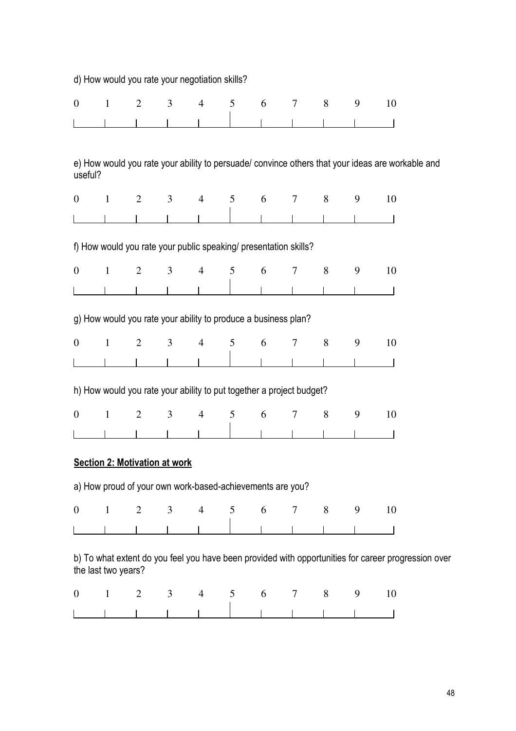|                  |                     |                | d) How would you rate your negotiation skills? |                |                |   |                                                                      |                |   |                                                                                                     |  |
|------------------|---------------------|----------------|------------------------------------------------|----------------|----------------|---|----------------------------------------------------------------------|----------------|---|-----------------------------------------------------------------------------------------------------|--|
| $\boldsymbol{0}$ | $\mathbf{1}$        | $\overline{2}$ | 3                                              | $\overline{4}$ | 5              | 6 | $\tau$                                                               | 8              | 9 | 10                                                                                                  |  |
|                  |                     |                |                                                |                |                |   |                                                                      |                |   |                                                                                                     |  |
|                  |                     |                |                                                |                |                |   |                                                                      |                |   |                                                                                                     |  |
| useful?          |                     |                |                                                |                |                |   |                                                                      |                |   | e) How would you rate your ability to persuade/ convince others that your ideas are workable and    |  |
| $\boldsymbol{0}$ | $\mathbf{1}$        | 2              | 3                                              | $\overline{4}$ | 5              | 6 | $\tau$                                                               | 8              | 9 | 10                                                                                                  |  |
|                  |                     |                |                                                |                |                |   |                                                                      |                |   |                                                                                                     |  |
|                  |                     |                |                                                |                |                |   | f) How would you rate your public speaking/ presentation skills?     |                |   |                                                                                                     |  |
| $\boldsymbol{0}$ | $\mathbf{1}$        | $\overline{2}$ | 3                                              | $\overline{4}$ | 5              | 6 | 7                                                                    | 8              | 9 | 10                                                                                                  |  |
|                  |                     |                |                                                |                |                |   |                                                                      |                |   |                                                                                                     |  |
|                  |                     |                |                                                |                |                |   | g) How would you rate your ability to produce a business plan?       |                |   |                                                                                                     |  |
| $\boldsymbol{0}$ | $\mathbf{1}$        | $\overline{2}$ | 3                                              | $\overline{4}$ | 5              | 6 | 7                                                                    | 8              | 9 | 10                                                                                                  |  |
|                  |                     |                |                                                |                |                |   |                                                                      |                |   |                                                                                                     |  |
|                  |                     |                |                                                |                |                |   | h) How would you rate your ability to put together a project budget? |                |   |                                                                                                     |  |
| $\boldsymbol{0}$ | $\mathbf{1}$        | $\overline{2}$ | 3                                              | $\overline{4}$ | 5              | 6 | 7                                                                    | 8              | 9 | 10                                                                                                  |  |
|                  |                     |                |                                                |                |                |   |                                                                      |                |   |                                                                                                     |  |
|                  |                     |                | <b>Section 2: Motivation at work</b>           |                |                |   |                                                                      |                |   |                                                                                                     |  |
|                  |                     |                |                                                |                |                |   | a) How proud of your own work-based-achievements are you?            |                |   |                                                                                                     |  |
| $\boldsymbol{0}$ | $\mathbf{1}$        | 2              | $\mathfrak{Z}$                                 | $\overline{4}$ | 5              | 6 | $\tau$                                                               | 8              | 9 | 10                                                                                                  |  |
|                  |                     |                |                                                |                |                |   |                                                                      |                |   |                                                                                                     |  |
|                  | the last two years? |                |                                                |                |                |   |                                                                      |                |   | b) To what extent do you feel you have been provided with opportunities for career progression over |  |
| $\boldsymbol{0}$ | $\mathbf{1}$        | 2              | 3 <sup>7</sup>                                 | $\overline{4}$ | 5 <sup>5</sup> | 6 | $\tau$                                                               | 8 <sup>8</sup> | 9 | 10                                                                                                  |  |
|                  |                     |                |                                                |                |                |   |                                                                      |                |   |                                                                                                     |  |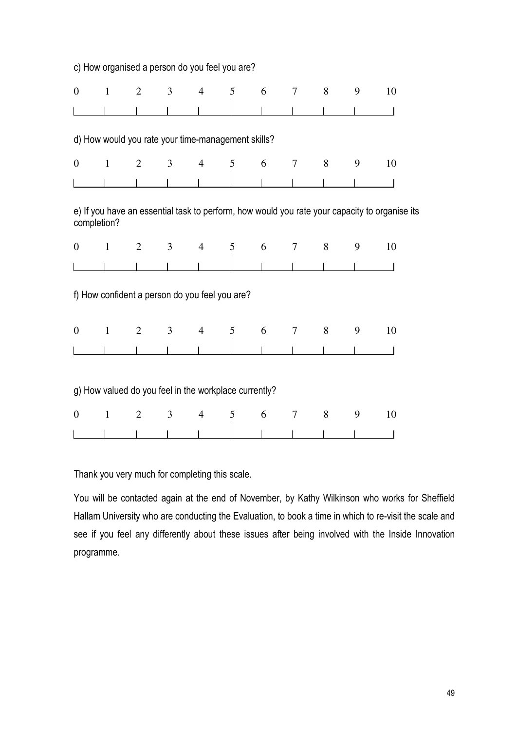|                  |              | c) How organised a person do you feel you are?        |                |                |   |   |                |   |   |                                                                                               |  |
|------------------|--------------|-------------------------------------------------------|----------------|----------------|---|---|----------------|---|---|-----------------------------------------------------------------------------------------------|--|
| $\boldsymbol{0}$ | $\mathbf{1}$ | $\overline{2}$                                        | 3              | $\overline{4}$ | 5 | 6 | 7              | 8 | 9 | 10                                                                                            |  |
|                  |              |                                                       |                |                |   |   |                |   |   |                                                                                               |  |
|                  |              | d) How would you rate your time-management skills?    |                |                |   |   |                |   |   |                                                                                               |  |
| $\boldsymbol{0}$ | $\mathbf{1}$ | $\overline{2}$                                        | 3              | $\overline{4}$ | 5 | 6 | $\overline{7}$ | 8 | 9 | 10                                                                                            |  |
|                  |              |                                                       |                |                |   |   |                |   |   |                                                                                               |  |
|                  | completion?  |                                                       |                |                |   |   |                |   |   | e) If you have an essential task to perform, how would you rate your capacity to organise its |  |
| $\boldsymbol{0}$ | $\mathbf{1}$ | $\overline{2}$                                        | 3 <sup>7</sup> | $\overline{4}$ | 5 | 6 | $\tau$         | 8 | 9 | 10                                                                                            |  |
|                  |              |                                                       |                |                |   |   |                |   |   |                                                                                               |  |
|                  |              | f) How confident a person do you feel you are?        |                |                |   |   |                |   |   |                                                                                               |  |
| $\overline{0}$   | $\mathbf{1}$ | $\overline{2}$                                        | 3              | $\overline{4}$ | 5 | 6 | $\overline{7}$ | 8 | 9 | 10                                                                                            |  |
|                  |              |                                                       |                |                |   |   |                |   |   |                                                                                               |  |
|                  |              | g) How valued do you feel in the workplace currently? |                |                |   |   |                |   |   |                                                                                               |  |
| $\boldsymbol{0}$ | $\mathbf{1}$ | $\mathfrak{2}$                                        | 3              | $\overline{4}$ | 5 | 6 | 7              | 8 | 9 | 10                                                                                            |  |
|                  |              |                                                       |                |                |   |   |                |   |   |                                                                                               |  |

Thank you very much for completing this scale.

You will be contacted again at the end of November, by Kathy Wilkinson who works for Sheffield Hallam University who are conducting the Evaluation, to book a time in which to re-visit the scale and see if you feel any differently about these issues after being involved with the Inside Innovation programme.